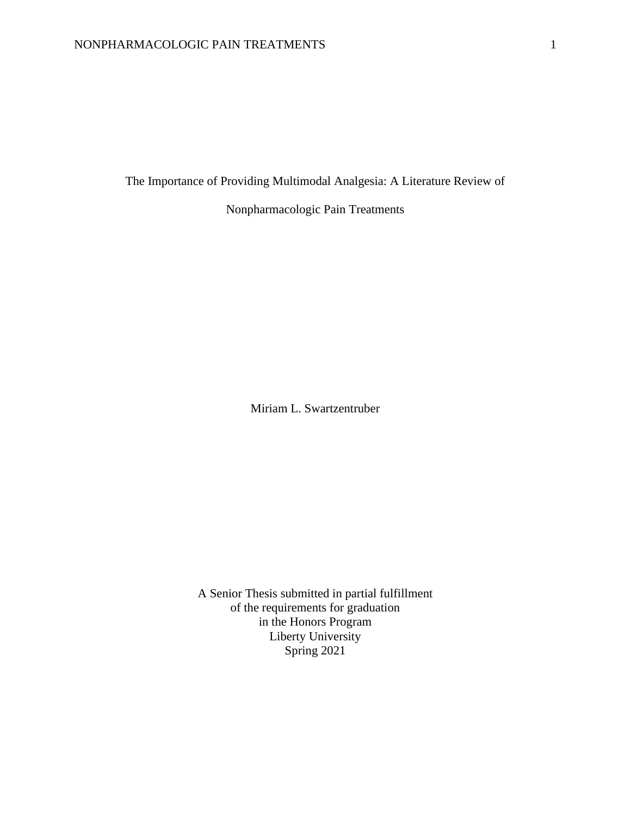The Importance of Providing Multimodal Analgesia: A Literature Review of

Nonpharmacologic Pain Treatments

Miriam L. Swartzentruber

A Senior Thesis submitted in partial fulfillment of the requirements for graduation in the Honors Program Liberty University Spring 2021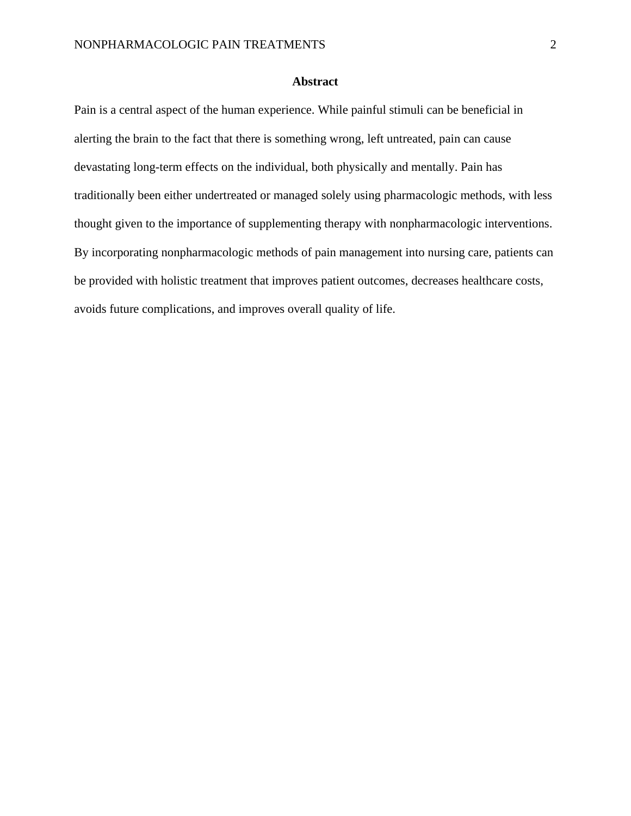# **Abstract**

Pain is a central aspect of the human experience. While painful stimuli can be beneficial in alerting the brain to the fact that there is something wrong, left untreated, pain can cause devastating long-term effects on the individual, both physically and mentally. Pain has traditionally been either undertreated or managed solely using pharmacologic methods, with less thought given to the importance of supplementing therapy with nonpharmacologic interventions. By incorporating nonpharmacologic methods of pain management into nursing care, patients can be provided with holistic treatment that improves patient outcomes, decreases healthcare costs, avoids future complications, and improves overall quality of life.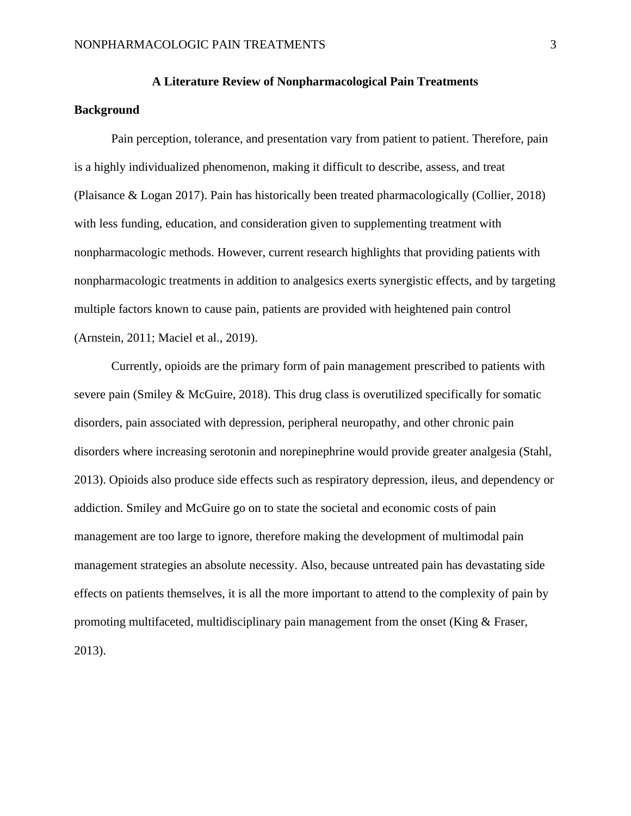# **A Literature Review of Nonpharmacological Pain Treatments**

# **Background**

Pain perception, tolerance, and presentation vary from patient to patient. Therefore, pain is a highly individualized phenomenon, making it difficult to describe, assess, and treat (Plaisance & Logan 2017). Pain has historically been treated pharmacologically (Collier, 2018) with less funding, education, and consideration given to supplementing treatment with nonpharmacologic methods. However, current research highlights that providing patients with nonpharmacologic treatments in addition to analgesics exerts synergistic effects, and by targeting multiple factors known to cause pain, patients are provided with heightened pain control (Arnstein, 2011; Maciel et al., 2019).

Currently, opioids are the primary form of pain management prescribed to patients with severe pain (Smiley & McGuire, 2018). This drug class is overutilized specifically for somatic disorders, pain associated with depression, peripheral neuropathy, and other chronic pain disorders where increasing serotonin and norepinephrine would provide greater analgesia (Stahl, 2013). Opioids also produce side effects such as respiratory depression, ileus, and dependency or addiction. Smiley and McGuire go on to state the societal and economic costs of pain management are too large to ignore, therefore making the development of multimodal pain management strategies an absolute necessity. Also, because untreated pain has devastating side effects on patients themselves, it is all the more important to attend to the complexity of pain by promoting multifaceted, multidisciplinary pain management from the onset (King & Fraser, 2013).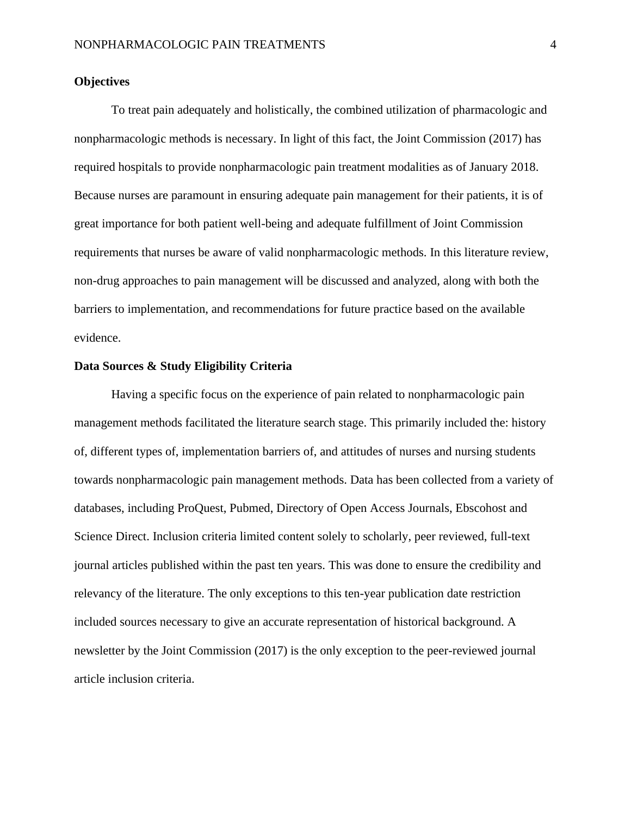# **Objectives**

To treat pain adequately and holistically, the combined utilization of pharmacologic and nonpharmacologic methods is necessary. In light of this fact, the Joint Commission (2017) has required hospitals to provide nonpharmacologic pain treatment modalities as of January 2018. Because nurses are paramount in ensuring adequate pain management for their patients, it is of great importance for both patient well-being and adequate fulfillment of Joint Commission requirements that nurses be aware of valid nonpharmacologic methods. In this literature review, non-drug approaches to pain management will be discussed and analyzed, along with both the barriers to implementation, and recommendations for future practice based on the available evidence.

# **Data Sources & Study Eligibility Criteria**

Having a specific focus on the experience of pain related to nonpharmacologic pain management methods facilitated the literature search stage. This primarily included the: history of, different types of, implementation barriers of, and attitudes of nurses and nursing students towards nonpharmacologic pain management methods. Data has been collected from a variety of databases, including ProQuest, Pubmed, Directory of Open Access Journals, Ebscohost and Science Direct. Inclusion criteria limited content solely to scholarly, peer reviewed, full-text journal articles published within the past ten years. This was done to ensure the credibility and relevancy of the literature. The only exceptions to this ten-year publication date restriction included sources necessary to give an accurate representation of historical background. A newsletter by the Joint Commission (2017) is the only exception to the peer-reviewed journal article inclusion criteria.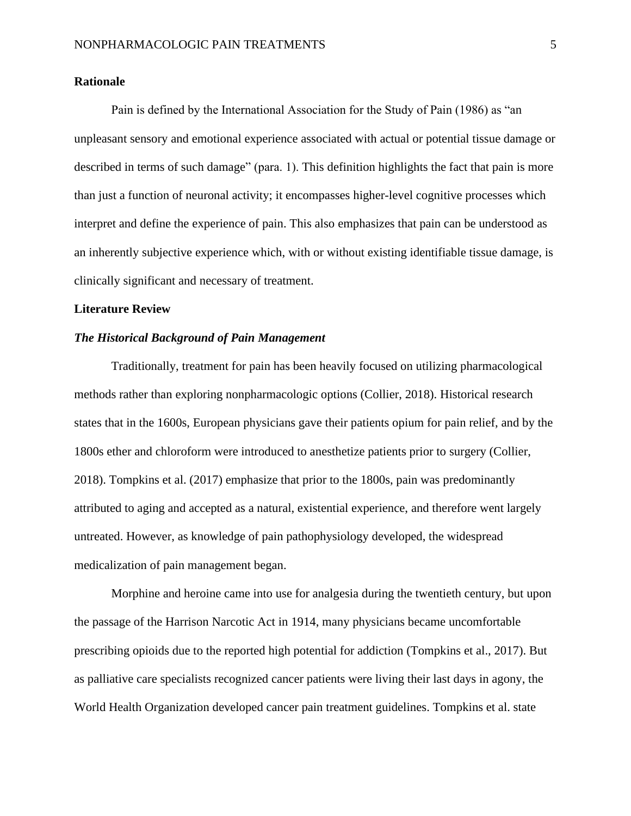# **Rationale**

Pain is defined by the International Association for the Study of Pain (1986) as "an unpleasant sensory and emotional experience associated with actual or potential tissue damage or described in terms of such damage" (para. 1). This definition highlights the fact that pain is more than just a function of neuronal activity; it encompasses higher-level cognitive processes which interpret and define the experience of pain. This also emphasizes that pain can be understood as an inherently subjective experience which, with or without existing identifiable tissue damage, is clinically significant and necessary of treatment.

# **Literature Review**

# *The Historical Background of Pain Management*

Traditionally, treatment for pain has been heavily focused on utilizing pharmacological methods rather than exploring nonpharmacologic options (Collier, 2018). Historical research states that in the 1600s, European physicians gave their patients opium for pain relief, and by the 1800s ether and chloroform were introduced to anesthetize patients prior to surgery (Collier, 2018). Tompkins et al. (2017) emphasize that prior to the 1800s, pain was predominantly attributed to aging and accepted as a natural, existential experience, and therefore went largely untreated. However, as knowledge of pain pathophysiology developed, the widespread medicalization of pain management began.

Morphine and heroine came into use for analgesia during the twentieth century, but upon the passage of the Harrison Narcotic Act in 1914, many physicians became uncomfortable prescribing opioids due to the reported high potential for addiction (Tompkins et al., 2017). But as palliative care specialists recognized cancer patients were living their last days in agony, the World Health Organization developed cancer pain treatment guidelines. Tompkins et al. state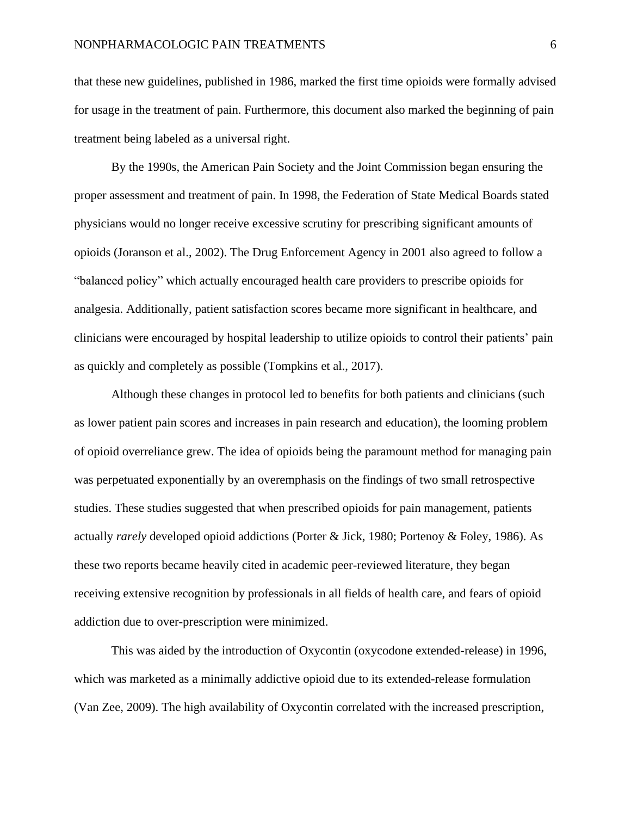that these new guidelines, published in 1986, marked the first time opioids were formally advised for usage in the treatment of pain. Furthermore, this document also marked the beginning of pain treatment being labeled as a universal right.

By the 1990s, the American Pain Society and the Joint Commission began ensuring the proper assessment and treatment of pain. In 1998, the Federation of State Medical Boards stated physicians would no longer receive excessive scrutiny for prescribing significant amounts of opioids (Joranson et al., 2002). The Drug Enforcement Agency in 2001 also agreed to follow a "balanced policy" which actually encouraged health care providers to prescribe opioids for analgesia. Additionally, patient satisfaction scores became more significant in healthcare, and clinicians were encouraged by hospital leadership to utilize opioids to control their patients' pain as quickly and completely as possible (Tompkins et al., 2017).

Although these changes in protocol led to benefits for both patients and clinicians (such as lower patient pain scores and increases in pain research and education), the looming problem of opioid overreliance grew. The idea of opioids being the paramount method for managing pain was perpetuated exponentially by an overemphasis on the findings of two small retrospective studies. These studies suggested that when prescribed opioids for pain management, patients actually *rarely* developed opioid addictions (Porter & Jick, 1980; Portenoy & Foley, 1986). As these two reports became heavily cited in academic peer-reviewed literature, they began receiving extensive recognition by professionals in all fields of health care, and fears of opioid addiction due to over-prescription were minimized.

This was aided by the introduction of Oxycontin (oxycodone extended-release) in 1996, which was marketed as a minimally addictive opioid due to its extended-release formulation (Van Zee, 2009). The high availability of Oxycontin correlated with the increased prescription,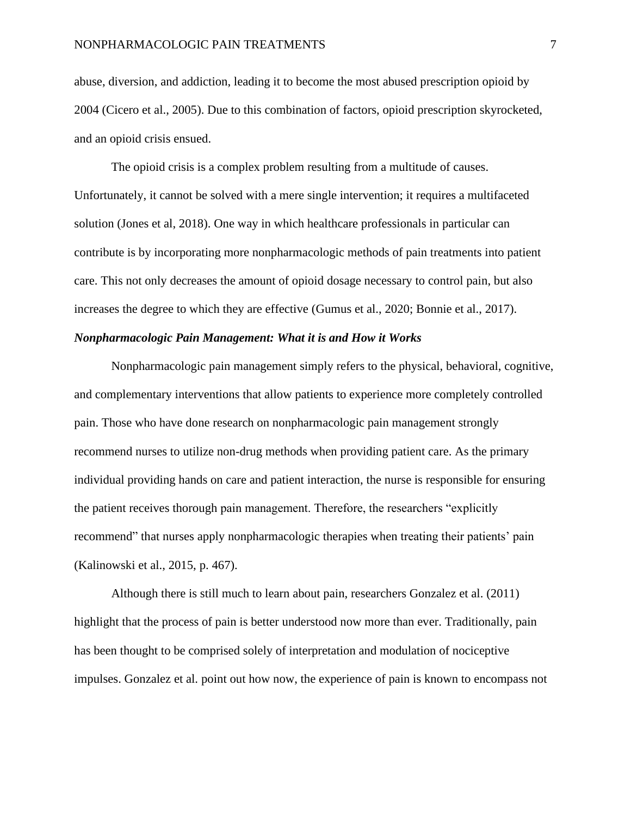abuse, diversion, and addiction, leading it to become the most abused prescription opioid by 2004 (Cicero et al., 2005). Due to this combination of factors, opioid prescription skyrocketed, and an opioid crisis ensued.

The opioid crisis is a complex problem resulting from a multitude of causes. Unfortunately, it cannot be solved with a mere single intervention; it requires a multifaceted solution (Jones et al, 2018). One way in which healthcare professionals in particular can contribute is by incorporating more nonpharmacologic methods of pain treatments into patient care. This not only decreases the amount of opioid dosage necessary to control pain, but also increases the degree to which they are effective (Gumus et al., 2020; Bonnie et al., 2017).

#### *Nonpharmacologic Pain Management: What it is and How it Works*

Nonpharmacologic pain management simply refers to the physical, behavioral, cognitive, and complementary interventions that allow patients to experience more completely controlled pain. Those who have done research on nonpharmacologic pain management strongly recommend nurses to utilize non-drug methods when providing patient care. As the primary individual providing hands on care and patient interaction, the nurse is responsible for ensuring the patient receives thorough pain management. Therefore, the researchers "explicitly recommend" that nurses apply nonpharmacologic therapies when treating their patients' pain (Kalinowski et al., 2015, p. 467).

Although there is still much to learn about pain, researchers Gonzalez et al. (2011) highlight that the process of pain is better understood now more than ever. Traditionally, pain has been thought to be comprised solely of interpretation and modulation of nociceptive impulses. Gonzalez et al. point out how now, the experience of pain is known to encompass not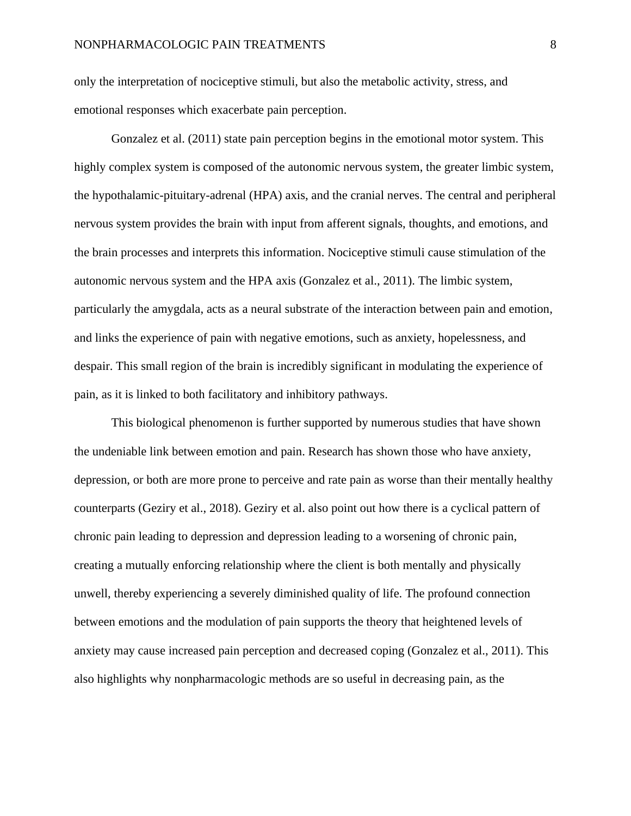only the interpretation of nociceptive stimuli, but also the metabolic activity, stress, and emotional responses which exacerbate pain perception.

Gonzalez et al. (2011) state pain perception begins in the emotional motor system. This highly complex system is composed of the autonomic nervous system, the greater limbic system, the hypothalamic-pituitary-adrenal (HPA) axis, and the cranial nerves. The central and peripheral nervous system provides the brain with input from afferent signals, thoughts, and emotions, and the brain processes and interprets this information. Nociceptive stimuli cause stimulation of the autonomic nervous system and the HPA axis (Gonzalez et al., 2011). The limbic system, particularly the amygdala, acts as a neural substrate of the interaction between pain and emotion, and links the experience of pain with negative emotions, such as anxiety, hopelessness, and despair. This small region of the brain is incredibly significant in modulating the experience of pain, as it is linked to both facilitatory and inhibitory pathways.

This biological phenomenon is further supported by numerous studies that have shown the undeniable link between emotion and pain. Research has shown those who have anxiety, depression, or both are more prone to perceive and rate pain as worse than their mentally healthy counterparts (Geziry et al., 2018). Geziry et al. also point out how there is a cyclical pattern of chronic pain leading to depression and depression leading to a worsening of chronic pain, creating a mutually enforcing relationship where the client is both mentally and physically unwell, thereby experiencing a severely diminished quality of life. The profound connection between emotions and the modulation of pain supports the theory that heightened levels of anxiety may cause increased pain perception and decreased coping (Gonzalez et al., 2011). This also highlights why nonpharmacologic methods are so useful in decreasing pain, as the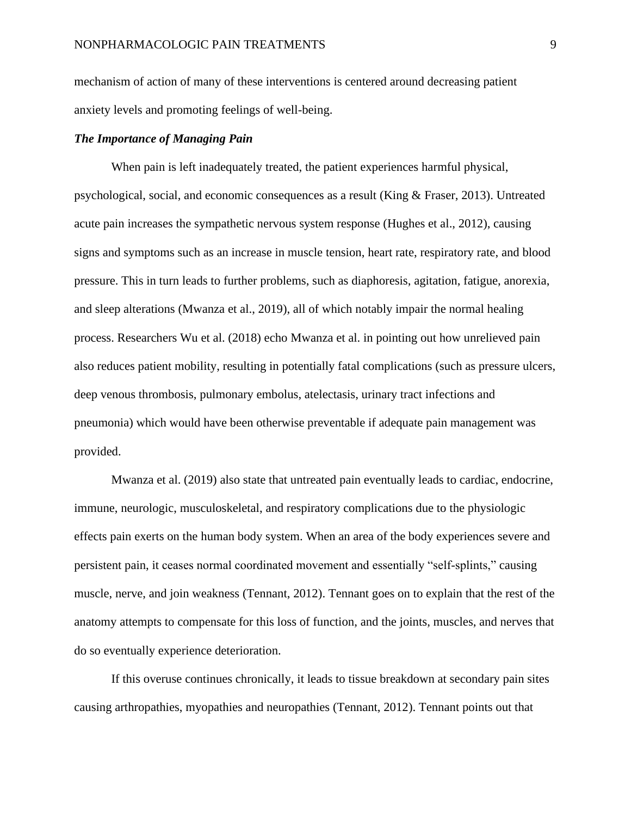mechanism of action of many of these interventions is centered around decreasing patient anxiety levels and promoting feelings of well-being.

# *The Importance of Managing Pain*

When pain is left inadequately treated, the patient experiences harmful physical, psychological, social, and economic consequences as a result (King & Fraser, 2013). Untreated acute pain increases the sympathetic nervous system response (Hughes et al., 2012), causing signs and symptoms such as an increase in muscle tension, heart rate, respiratory rate, and blood pressure. This in turn leads to further problems, such as diaphoresis, agitation, fatigue, anorexia, and sleep alterations (Mwanza et al., 2019), all of which notably impair the normal healing process. Researchers Wu et al. (2018) echo Mwanza et al. in pointing out how unrelieved pain also reduces patient mobility, resulting in potentially fatal complications (such as pressure ulcers, deep venous thrombosis, pulmonary embolus, atelectasis, urinary tract infections and pneumonia) which would have been otherwise preventable if adequate pain management was provided.

Mwanza et al. (2019) also state that untreated pain eventually leads to cardiac, endocrine, immune, neurologic, musculoskeletal, and respiratory complications due to the physiologic effects pain exerts on the human body system. When an area of the body experiences severe and persistent pain, it ceases normal coordinated movement and essentially "self-splints," causing muscle, nerve, and join weakness (Tennant, 2012). Tennant goes on to explain that the rest of the anatomy attempts to compensate for this loss of function, and the joints, muscles, and nerves that do so eventually experience deterioration.

If this overuse continues chronically, it leads to tissue breakdown at secondary pain sites causing arthropathies, myopathies and neuropathies (Tennant, 2012). Tennant points out that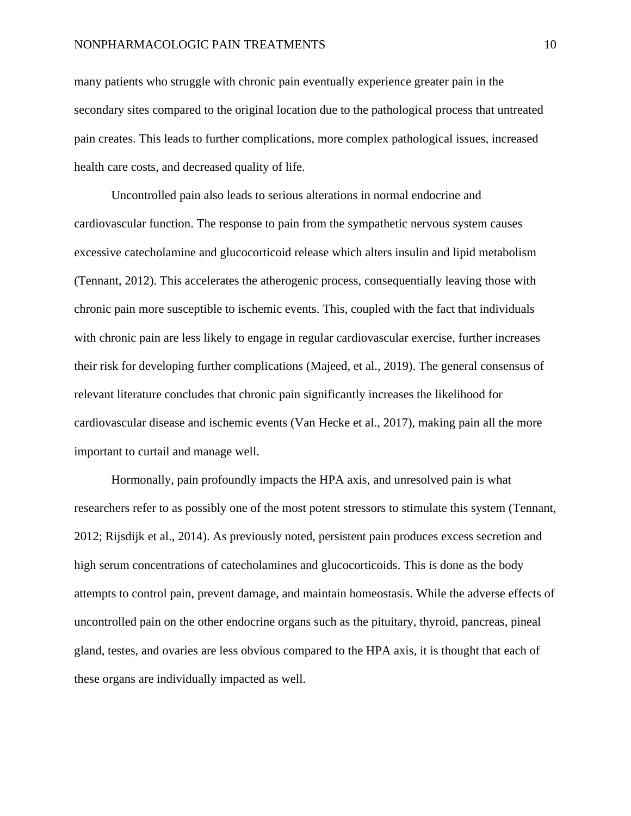## NONPHARMACOLOGIC PAIN TREATMENTS 10

many patients who struggle with chronic pain eventually experience greater pain in the secondary sites compared to the original location due to the pathological process that untreated pain creates. This leads to further complications, more complex pathological issues, increased health care costs, and decreased quality of life.

Uncontrolled pain also leads to serious alterations in normal endocrine and cardiovascular function. The response to pain from the sympathetic nervous system causes excessive catecholamine and glucocorticoid release which alters insulin and lipid metabolism (Tennant, 2012). This accelerates the atherogenic process, consequentially leaving those with chronic pain more susceptible to ischemic events. This, coupled with the fact that individuals with chronic pain are less likely to engage in regular cardiovascular exercise, further increases their risk for developing further complications (Majeed, et al., 2019). The general consensus of relevant literature concludes that chronic pain significantly increases the likelihood for cardiovascular disease and ischemic events (Van Hecke et al., 2017), making pain all the more important to curtail and manage well.

Hormonally, pain profoundly impacts the HPA axis, and unresolved pain is what researchers refer to as possibly one of the most potent stressors to stimulate this system (Tennant, 2012; Rijsdijk et al., 2014). As previously noted, persistent pain produces excess secretion and high serum concentrations of catecholamines and glucocorticoids. This is done as the body attempts to control pain, prevent damage, and maintain homeostasis. While the adverse effects of uncontrolled pain on the other endocrine organs such as the pituitary, thyroid, pancreas, pineal gland, testes, and ovaries are less obvious compared to the HPA axis, it is thought that each of these organs are individually impacted as well.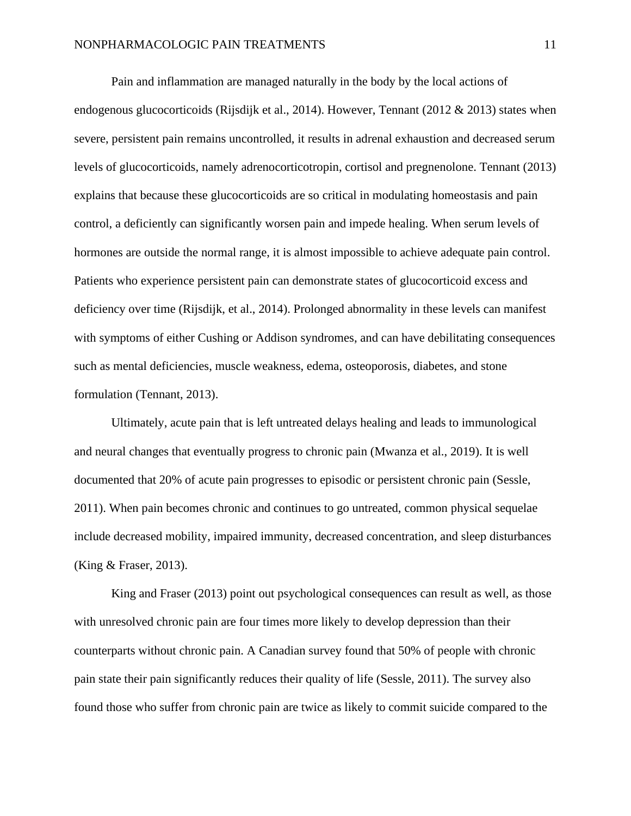Pain and inflammation are managed naturally in the body by the local actions of endogenous glucocorticoids (Rijsdijk et al., 2014). However, Tennant (2012 & 2013) states when severe, persistent pain remains uncontrolled, it results in adrenal exhaustion and decreased serum levels of glucocorticoids, namely adrenocorticotropin, cortisol and pregnenolone. Tennant (2013) explains that because these glucocorticoids are so critical in modulating homeostasis and pain control, a deficiently can significantly worsen pain and impede healing. When serum levels of hormones are outside the normal range, it is almost impossible to achieve adequate pain control. Patients who experience persistent pain can demonstrate states of glucocorticoid excess and deficiency over time (Rijsdijk, et al., 2014). Prolonged abnormality in these levels can manifest with symptoms of either Cushing or Addison syndromes, and can have debilitating consequences such as mental deficiencies, muscle weakness, edema, osteoporosis, diabetes, and stone formulation (Tennant, 2013).

Ultimately, acute pain that is left untreated delays healing and leads to immunological and neural changes that eventually progress to chronic pain (Mwanza et al., 2019). It is well documented that 20% of acute pain progresses to episodic or persistent chronic pain (Sessle, 2011). When pain becomes chronic and continues to go untreated, common physical sequelae include decreased mobility, impaired immunity, decreased concentration, and sleep disturbances (King & Fraser, 2013).

King and Fraser (2013) point out psychological consequences can result as well, as those with unresolved chronic pain are four times more likely to develop depression than their counterparts without chronic pain. A Canadian survey found that 50% of people with chronic pain state their pain significantly reduces their quality of life (Sessle, 2011). The survey also found those who suffer from chronic pain are twice as likely to commit suicide compared to the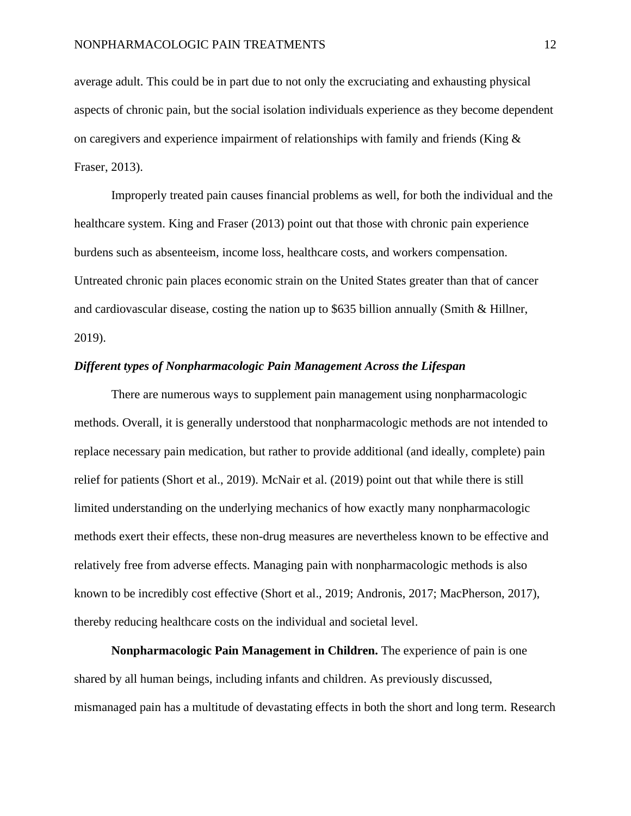average adult. This could be in part due to not only the excruciating and exhausting physical aspects of chronic pain, but the social isolation individuals experience as they become dependent on caregivers and experience impairment of relationships with family and friends (King  $\&$ Fraser, 2013).

Improperly treated pain causes financial problems as well, for both the individual and the healthcare system. King and Fraser (2013) point out that those with chronic pain experience burdens such as absenteeism, income loss, healthcare costs, and workers compensation. Untreated chronic pain places economic strain on the United States greater than that of cancer and cardiovascular disease, costing the nation up to \$635 billion annually (Smith & Hillner, 2019).

#### *Different types of Nonpharmacologic Pain Management Across the Lifespan*

There are numerous ways to supplement pain management using nonpharmacologic methods. Overall, it is generally understood that nonpharmacologic methods are not intended to replace necessary pain medication, but rather to provide additional (and ideally, complete) pain relief for patients (Short et al., 2019). McNair et al. (2019) point out that while there is still limited understanding on the underlying mechanics of how exactly many nonpharmacologic methods exert their effects, these non-drug measures are nevertheless known to be effective and relatively free from adverse effects. Managing pain with nonpharmacologic methods is also known to be incredibly cost effective (Short et al., 2019; Andronis, 2017; MacPherson, 2017), thereby reducing healthcare costs on the individual and societal level.

**Nonpharmacologic Pain Management in Children.** The experience of pain is one shared by all human beings, including infants and children. As previously discussed, mismanaged pain has a multitude of devastating effects in both the short and long term. Research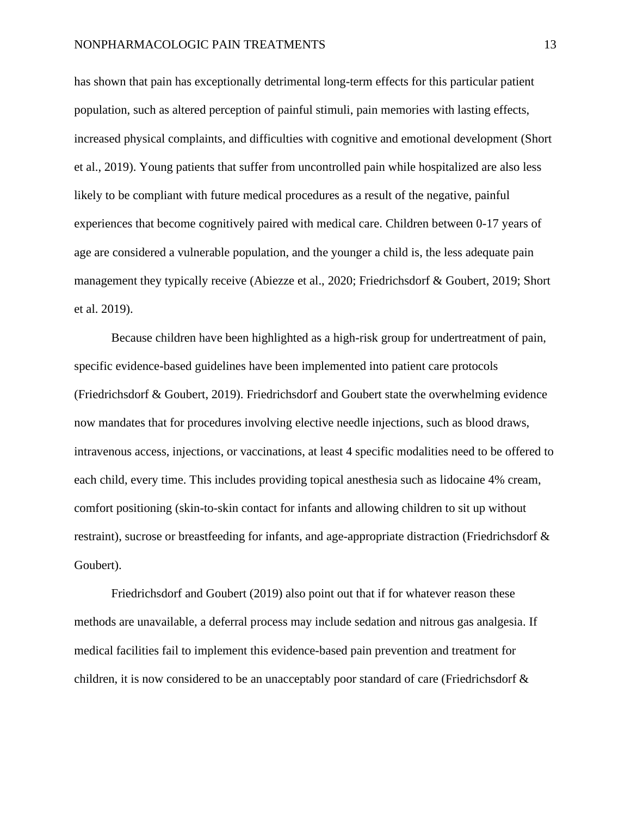has shown that pain has exceptionally detrimental long-term effects for this particular patient population, such as altered perception of painful stimuli, pain memories with lasting effects, increased physical complaints, and difficulties with cognitive and emotional development (Short et al., 2019). Young patients that suffer from uncontrolled pain while hospitalized are also less likely to be compliant with future medical procedures as a result of the negative, painful experiences that become cognitively paired with medical care. Children between 0-17 years of age are considered a vulnerable population, and the younger a child is, the less adequate pain management they typically receive (Abiezze et al., 2020; Friedrichsdorf & Goubert, 2019; Short et al. 2019).

Because children have been highlighted as a high-risk group for undertreatment of pain, specific evidence-based guidelines have been implemented into patient care protocols (Friedrichsdorf & Goubert, 2019). Friedrichsdorf and Goubert state the overwhelming evidence now mandates that for procedures involving elective needle injections, such as blood draws, intravenous access, injections, or vaccinations, at least 4 specific modalities need to be offered to each child, every time. This includes providing topical anesthesia such as lidocaine 4% cream, comfort positioning (skin-to-skin contact for infants and allowing children to sit up without restraint), sucrose or breastfeeding for infants, and age-appropriate distraction (Friedrichsdorf & Goubert).

Friedrichsdorf and Goubert (2019) also point out that if for whatever reason these methods are unavailable, a deferral process may include sedation and nitrous gas analgesia. If medical facilities fail to implement this evidence-based pain prevention and treatment for children, it is now considered to be an unacceptably poor standard of care (Friedrichsdorf &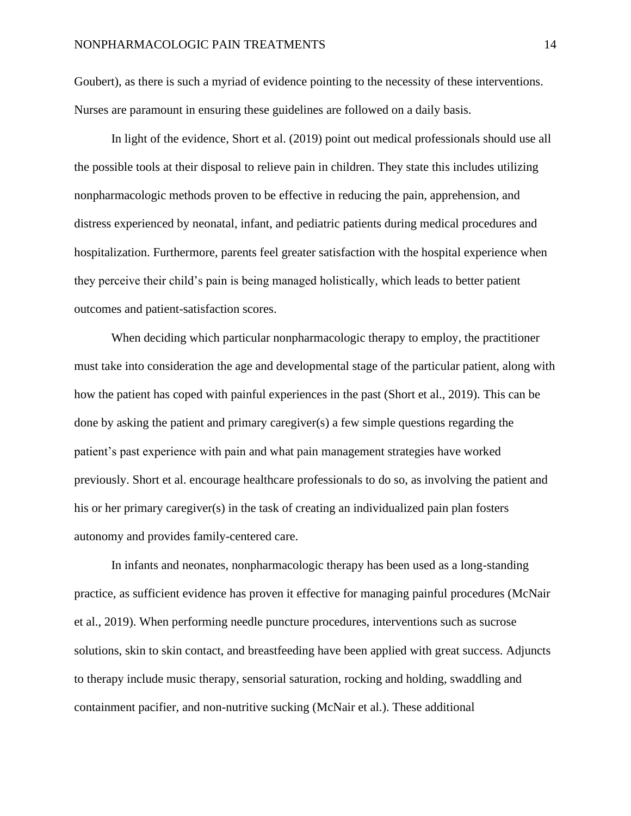Goubert), as there is such a myriad of evidence pointing to the necessity of these interventions. Nurses are paramount in ensuring these guidelines are followed on a daily basis.

In light of the evidence, Short et al. (2019) point out medical professionals should use all the possible tools at their disposal to relieve pain in children. They state this includes utilizing nonpharmacologic methods proven to be effective in reducing the pain, apprehension, and distress experienced by neonatal, infant, and pediatric patients during medical procedures and hospitalization. Furthermore, parents feel greater satisfaction with the hospital experience when they perceive their child's pain is being managed holistically, which leads to better patient outcomes and patient-satisfaction scores.

When deciding which particular nonpharmacologic therapy to employ, the practitioner must take into consideration the age and developmental stage of the particular patient, along with how the patient has coped with painful experiences in the past (Short et al., 2019). This can be done by asking the patient and primary caregiver(s) a few simple questions regarding the patient's past experience with pain and what pain management strategies have worked previously. Short et al. encourage healthcare professionals to do so, as involving the patient and his or her primary caregiver(s) in the task of creating an individualized pain plan fosters autonomy and provides family-centered care.

In infants and neonates, nonpharmacologic therapy has been used as a long-standing practice, as sufficient evidence has proven it effective for managing painful procedures (McNair et al., 2019). When performing needle puncture procedures, interventions such as sucrose solutions, skin to skin contact, and breastfeeding have been applied with great success. Adjuncts to therapy include music therapy, sensorial saturation, rocking and holding, swaddling and containment pacifier, and non-nutritive sucking (McNair et al.). These additional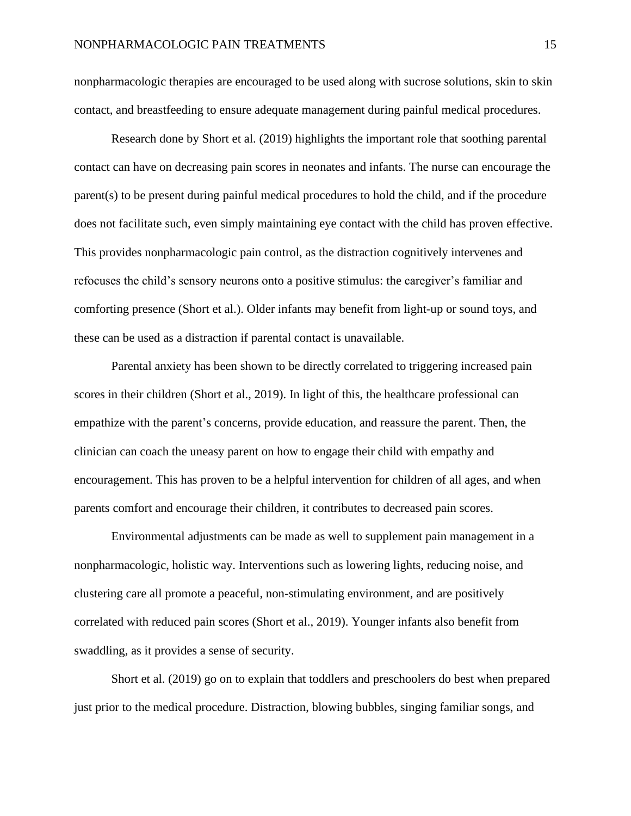nonpharmacologic therapies are encouraged to be used along with sucrose solutions, skin to skin contact, and breastfeeding to ensure adequate management during painful medical procedures.

Research done by Short et al. (2019) highlights the important role that soothing parental contact can have on decreasing pain scores in neonates and infants. The nurse can encourage the parent(s) to be present during painful medical procedures to hold the child, and if the procedure does not facilitate such, even simply maintaining eye contact with the child has proven effective. This provides nonpharmacologic pain control, as the distraction cognitively intervenes and refocuses the child's sensory neurons onto a positive stimulus: the caregiver's familiar and comforting presence (Short et al.). Older infants may benefit from light-up or sound toys, and these can be used as a distraction if parental contact is unavailable.

Parental anxiety has been shown to be directly correlated to triggering increased pain scores in their children (Short et al., 2019). In light of this, the healthcare professional can empathize with the parent's concerns, provide education, and reassure the parent. Then, the clinician can coach the uneasy parent on how to engage their child with empathy and encouragement. This has proven to be a helpful intervention for children of all ages, and when parents comfort and encourage their children, it contributes to decreased pain scores.

Environmental adjustments can be made as well to supplement pain management in a nonpharmacologic, holistic way. Interventions such as lowering lights, reducing noise, and clustering care all promote a peaceful, non-stimulating environment, and are positively correlated with reduced pain scores (Short et al., 2019). Younger infants also benefit from swaddling, as it provides a sense of security.

Short et al. (2019) go on to explain that toddlers and preschoolers do best when prepared just prior to the medical procedure. Distraction, blowing bubbles, singing familiar songs, and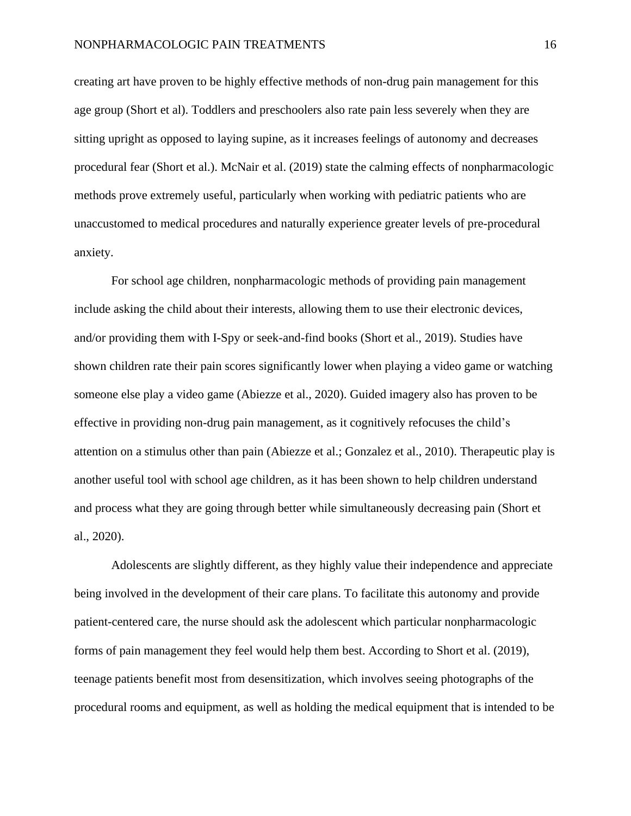creating art have proven to be highly effective methods of non-drug pain management for this age group (Short et al). Toddlers and preschoolers also rate pain less severely when they are sitting upright as opposed to laying supine, as it increases feelings of autonomy and decreases procedural fear (Short et al.). McNair et al. (2019) state the calming effects of nonpharmacologic methods prove extremely useful, particularly when working with pediatric patients who are unaccustomed to medical procedures and naturally experience greater levels of pre-procedural anxiety.

For school age children, nonpharmacologic methods of providing pain management include asking the child about their interests, allowing them to use their electronic devices, and/or providing them with I-Spy or seek-and-find books (Short et al., 2019). Studies have shown children rate their pain scores significantly lower when playing a video game or watching someone else play a video game (Abiezze et al., 2020). Guided imagery also has proven to be effective in providing non-drug pain management, as it cognitively refocuses the child's attention on a stimulus other than pain (Abiezze et al.; Gonzalez et al., 2010). Therapeutic play is another useful tool with school age children, as it has been shown to help children understand and process what they are going through better while simultaneously decreasing pain (Short et al., 2020).

Adolescents are slightly different, as they highly value their independence and appreciate being involved in the development of their care plans. To facilitate this autonomy and provide patient-centered care, the nurse should ask the adolescent which particular nonpharmacologic forms of pain management they feel would help them best. According to Short et al. (2019), teenage patients benefit most from desensitization, which involves seeing photographs of the procedural rooms and equipment, as well as holding the medical equipment that is intended to be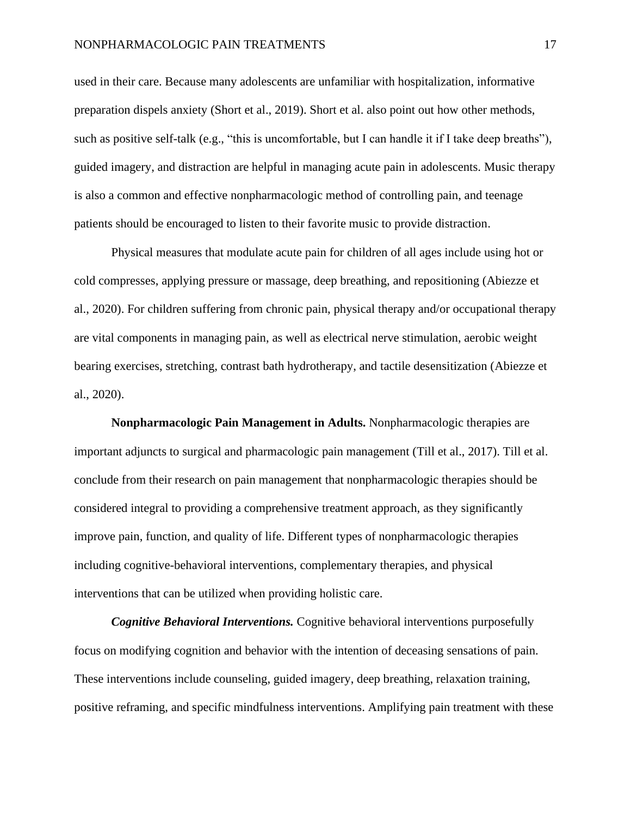used in their care. Because many adolescents are unfamiliar with hospitalization, informative preparation dispels anxiety (Short et al., 2019). Short et al. also point out how other methods, such as positive self-talk (e.g., "this is uncomfortable, but I can handle it if I take deep breaths"), guided imagery, and distraction are helpful in managing acute pain in adolescents. Music therapy is also a common and effective nonpharmacologic method of controlling pain, and teenage patients should be encouraged to listen to their favorite music to provide distraction.

Physical measures that modulate acute pain for children of all ages include using hot or cold compresses, applying pressure or massage, deep breathing, and repositioning (Abiezze et al., 2020). For children suffering from chronic pain, physical therapy and/or occupational therapy are vital components in managing pain, as well as electrical nerve stimulation, aerobic weight bearing exercises, stretching, contrast bath hydrotherapy, and tactile desensitization (Abiezze et al., 2020).

**Nonpharmacologic Pain Management in Adults.** Nonpharmacologic therapies are important adjuncts to surgical and pharmacologic pain management (Till et al., 2017). Till et al. conclude from their research on pain management that nonpharmacologic therapies should be considered integral to providing a comprehensive treatment approach, as they significantly improve pain, function, and quality of life. Different types of nonpharmacologic therapies including cognitive-behavioral interventions, complementary therapies, and physical interventions that can be utilized when providing holistic care.

*Cognitive Behavioral Interventions.* Cognitive behavioral interventions purposefully focus on modifying cognition and behavior with the intention of deceasing sensations of pain. These interventions include counseling, guided imagery, deep breathing, relaxation training, positive reframing, and specific mindfulness interventions. Amplifying pain treatment with these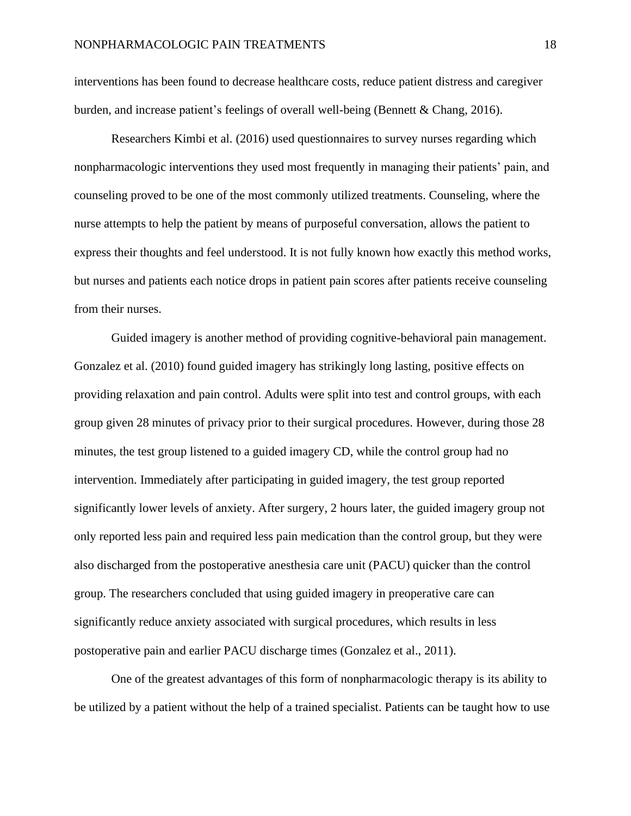interventions has been found to decrease healthcare costs, reduce patient distress and caregiver burden, and increase patient's feelings of overall well-being (Bennett & Chang, 2016).

Researchers Kimbi et al. (2016) used questionnaires to survey nurses regarding which nonpharmacologic interventions they used most frequently in managing their patients' pain, and counseling proved to be one of the most commonly utilized treatments. Counseling, where the nurse attempts to help the patient by means of purposeful conversation, allows the patient to express their thoughts and feel understood. It is not fully known how exactly this method works, but nurses and patients each notice drops in patient pain scores after patients receive counseling from their nurses.

Guided imagery is another method of providing cognitive-behavioral pain management. Gonzalez et al. (2010) found guided imagery has strikingly long lasting, positive effects on providing relaxation and pain control. Adults were split into test and control groups, with each group given 28 minutes of privacy prior to their surgical procedures. However, during those 28 minutes, the test group listened to a guided imagery CD, while the control group had no intervention. Immediately after participating in guided imagery, the test group reported significantly lower levels of anxiety. After surgery, 2 hours later, the guided imagery group not only reported less pain and required less pain medication than the control group, but they were also discharged from the postoperative anesthesia care unit (PACU) quicker than the control group. The researchers concluded that using guided imagery in preoperative care can significantly reduce anxiety associated with surgical procedures, which results in less postoperative pain and earlier PACU discharge times (Gonzalez et al., 2011).

One of the greatest advantages of this form of nonpharmacologic therapy is its ability to be utilized by a patient without the help of a trained specialist. Patients can be taught how to use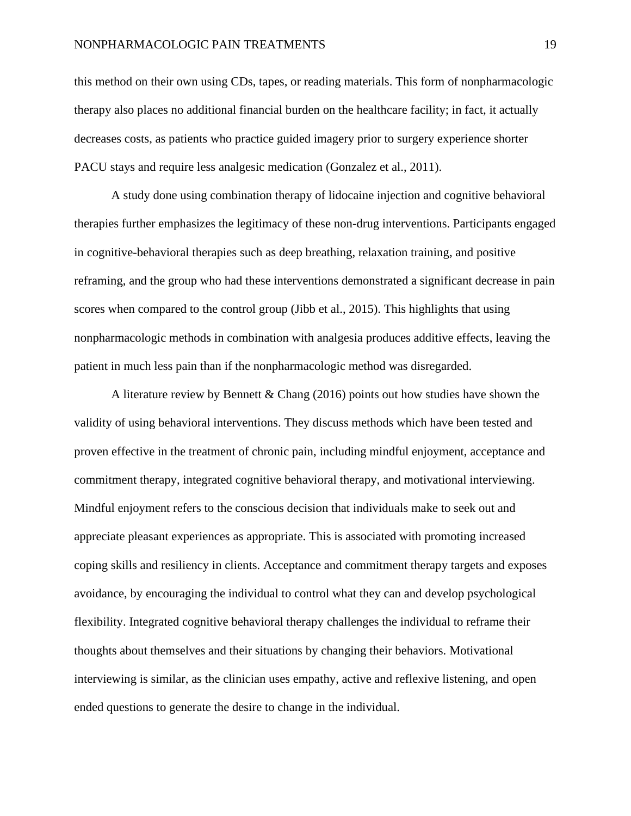this method on their own using CDs, tapes, or reading materials. This form of nonpharmacologic therapy also places no additional financial burden on the healthcare facility; in fact, it actually decreases costs, as patients who practice guided imagery prior to surgery experience shorter PACU stays and require less analgesic medication (Gonzalez et al., 2011).

A study done using combination therapy of lidocaine injection and cognitive behavioral therapies further emphasizes the legitimacy of these non-drug interventions. Participants engaged in cognitive-behavioral therapies such as deep breathing, relaxation training, and positive reframing, and the group who had these interventions demonstrated a significant decrease in pain scores when compared to the control group (Jibb et al., 2015). This highlights that using nonpharmacologic methods in combination with analgesia produces additive effects, leaving the patient in much less pain than if the nonpharmacologic method was disregarded.

A literature review by Bennett  $\&$  Chang (2016) points out how studies have shown the validity of using behavioral interventions. They discuss methods which have been tested and proven effective in the treatment of chronic pain, including mindful enjoyment, acceptance and commitment therapy, integrated cognitive behavioral therapy, and motivational interviewing. Mindful enjoyment refers to the conscious decision that individuals make to seek out and appreciate pleasant experiences as appropriate. This is associated with promoting increased coping skills and resiliency in clients. Acceptance and commitment therapy targets and exposes avoidance, by encouraging the individual to control what they can and develop psychological flexibility. Integrated cognitive behavioral therapy challenges the individual to reframe their thoughts about themselves and their situations by changing their behaviors. Motivational interviewing is similar, as the clinician uses empathy, active and reflexive listening, and open ended questions to generate the desire to change in the individual.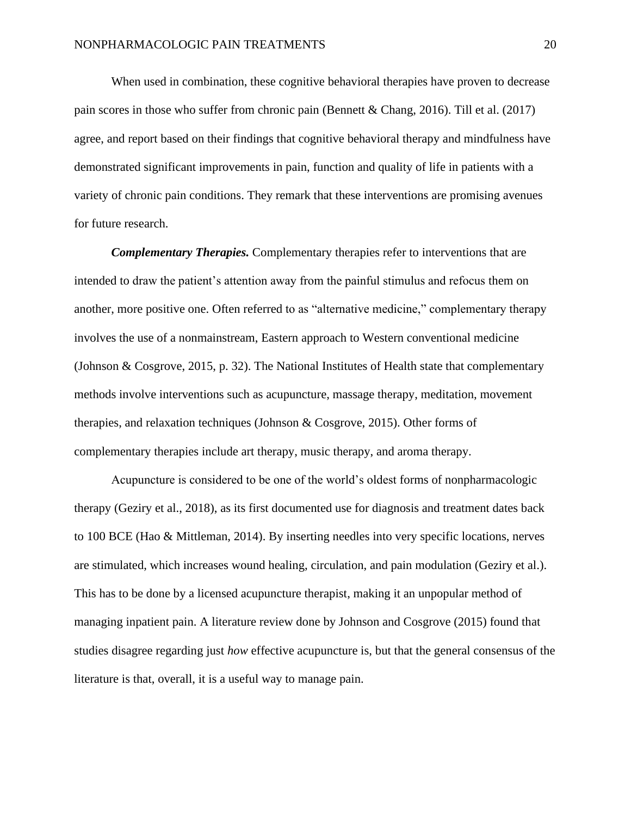When used in combination, these cognitive behavioral therapies have proven to decrease pain scores in those who suffer from chronic pain (Bennett & Chang, 2016). Till et al. (2017) agree, and report based on their findings that cognitive behavioral therapy and mindfulness have demonstrated significant improvements in pain, function and quality of life in patients with a variety of chronic pain conditions. They remark that these interventions are promising avenues for future research.

*Complementary Therapies.* Complementary therapies refer to interventions that are intended to draw the patient's attention away from the painful stimulus and refocus them on another, more positive one. Often referred to as "alternative medicine," complementary therapy involves the use of a nonmainstream, Eastern approach to Western conventional medicine (Johnson & Cosgrove, 2015, p. 32). The National Institutes of Health state that complementary methods involve interventions such as acupuncture, massage therapy, meditation, movement therapies, and relaxation techniques (Johnson & Cosgrove, 2015). Other forms of complementary therapies include art therapy, music therapy, and aroma therapy.

Acupuncture is considered to be one of the world's oldest forms of nonpharmacologic therapy (Geziry et al., 2018), as its first documented use for diagnosis and treatment dates back to 100 BCE (Hao & Mittleman, 2014). By inserting needles into very specific locations, nerves are stimulated, which increases wound healing, circulation, and pain modulation (Geziry et al.). This has to be done by a licensed acupuncture therapist, making it an unpopular method of managing inpatient pain. A literature review done by Johnson and Cosgrove (2015) found that studies disagree regarding just *how* effective acupuncture is, but that the general consensus of the literature is that, overall, it is a useful way to manage pain.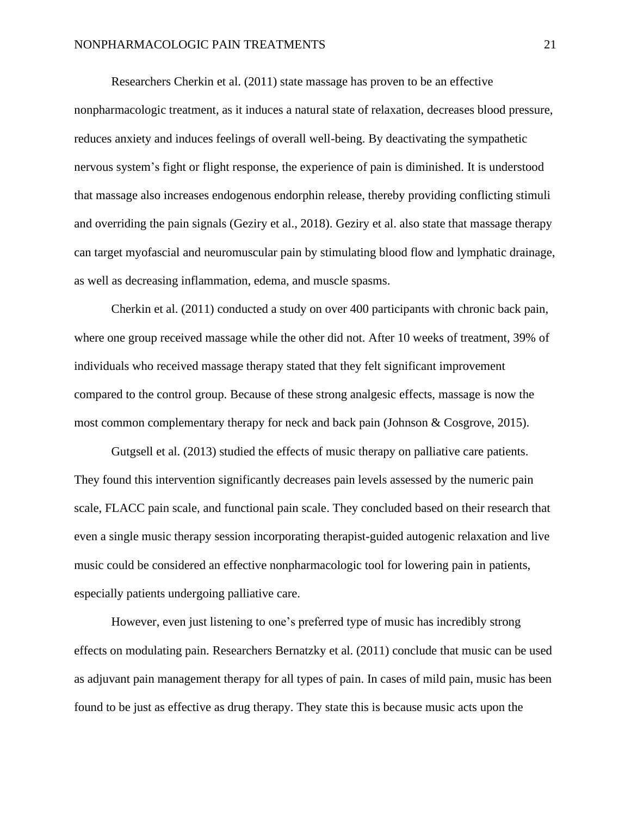Researchers Cherkin et al. (2011) state massage has proven to be an effective nonpharmacologic treatment, as it induces a natural state of relaxation, decreases blood pressure, reduces anxiety and induces feelings of overall well-being. By deactivating the sympathetic nervous system's fight or flight response, the experience of pain is diminished. It is understood that massage also increases endogenous endorphin release, thereby providing conflicting stimuli and overriding the pain signals (Geziry et al., 2018). Geziry et al. also state that massage therapy can target myofascial and neuromuscular pain by stimulating blood flow and lymphatic drainage, as well as decreasing inflammation, edema, and muscle spasms.

Cherkin et al. (2011) conducted a study on over 400 participants with chronic back pain, where one group received massage while the other did not. After 10 weeks of treatment, 39% of individuals who received massage therapy stated that they felt significant improvement compared to the control group. Because of these strong analgesic effects, massage is now the most common complementary therapy for neck and back pain (Johnson & Cosgrove, 2015).

Gutgsell et al. (2013) studied the effects of music therapy on palliative care patients. They found this intervention significantly decreases pain levels assessed by the numeric pain scale, FLACC pain scale, and functional pain scale. They concluded based on their research that even a single music therapy session incorporating therapist-guided autogenic relaxation and live music could be considered an effective nonpharmacologic tool for lowering pain in patients, especially patients undergoing palliative care.

However, even just listening to one's preferred type of music has incredibly strong effects on modulating pain. Researchers Bernatzky et al. (2011) conclude that music can be used as adjuvant pain management therapy for all types of pain. In cases of mild pain, music has been found to be just as effective as drug therapy. They state this is because music acts upon the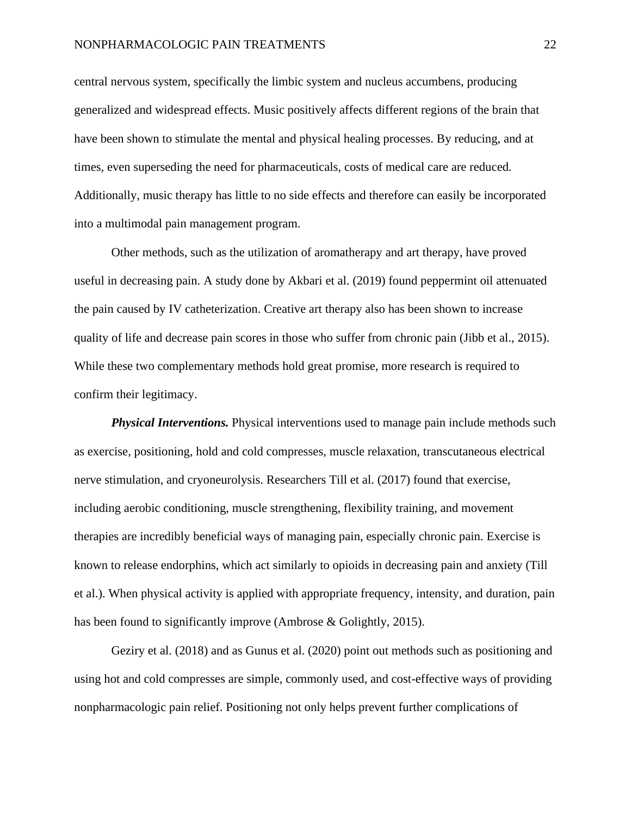central nervous system, specifically the limbic system and nucleus accumbens, producing generalized and widespread effects. Music positively affects different regions of the brain that have been shown to stimulate the mental and physical healing processes. By reducing, and at times, even superseding the need for pharmaceuticals, costs of medical care are reduced. Additionally, music therapy has little to no side effects and therefore can easily be incorporated into a multimodal pain management program.

Other methods, such as the utilization of aromatherapy and art therapy, have proved useful in decreasing pain. A study done by Akbari et al. (2019) found peppermint oil attenuated the pain caused by IV catheterization. Creative art therapy also has been shown to increase quality of life and decrease pain scores in those who suffer from chronic pain (Jibb et al., 2015). While these two complementary methods hold great promise, more research is required to confirm their legitimacy.

*Physical Interventions.* Physical interventions used to manage pain include methods such as exercise, positioning, hold and cold compresses, muscle relaxation, transcutaneous electrical nerve stimulation, and cryoneurolysis. Researchers Till et al. (2017) found that exercise, including aerobic conditioning, muscle strengthening, flexibility training, and movement therapies are incredibly beneficial ways of managing pain, especially chronic pain. Exercise is known to release endorphins, which act similarly to opioids in decreasing pain and anxiety (Till et al.). When physical activity is applied with appropriate frequency, intensity, and duration, pain has been found to significantly improve (Ambrose & Golightly, 2015).

Geziry et al. (2018) and as Gunus et al. (2020) point out methods such as positioning and using hot and cold compresses are simple, commonly used, and cost-effective ways of providing nonpharmacologic pain relief. Positioning not only helps prevent further complications of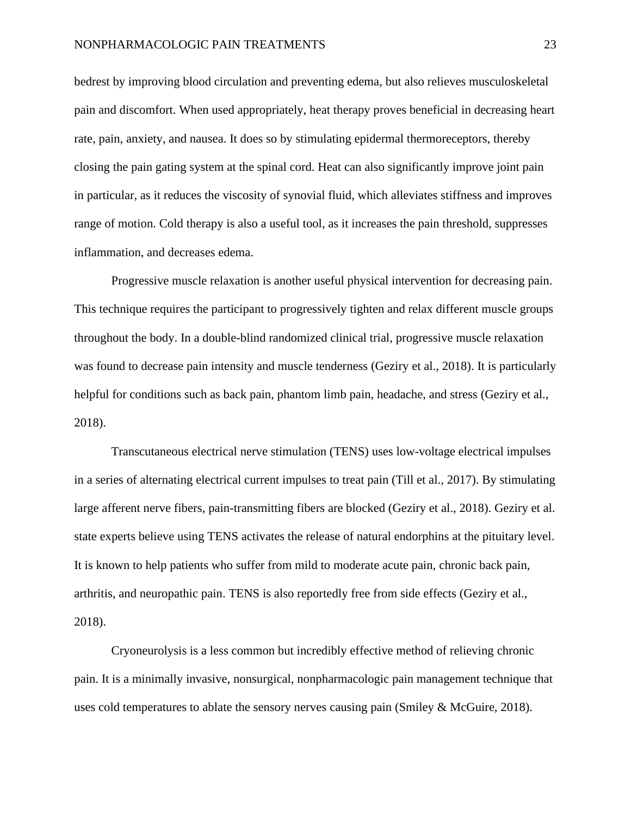bedrest by improving blood circulation and preventing edema, but also relieves musculoskeletal pain and discomfort. When used appropriately, heat therapy proves beneficial in decreasing heart rate, pain, anxiety, and nausea. It does so by stimulating epidermal thermoreceptors, thereby closing the pain gating system at the spinal cord. Heat can also significantly improve joint pain in particular, as it reduces the viscosity of synovial fluid, which alleviates stiffness and improves range of motion. Cold therapy is also a useful tool, as it increases the pain threshold, suppresses inflammation, and decreases edema.

Progressive muscle relaxation is another useful physical intervention for decreasing pain. This technique requires the participant to progressively tighten and relax different muscle groups throughout the body. In a double-blind randomized clinical trial, progressive muscle relaxation was found to decrease pain intensity and muscle tenderness (Geziry et al., 2018). It is particularly helpful for conditions such as back pain, phantom limb pain, headache, and stress (Geziry et al., 2018).

Transcutaneous electrical nerve stimulation (TENS) uses low-voltage electrical impulses in a series of alternating electrical current impulses to treat pain (Till et al., 2017). By stimulating large afferent nerve fibers, pain-transmitting fibers are blocked (Geziry et al., 2018). Geziry et al. state experts believe using TENS activates the release of natural endorphins at the pituitary level. It is known to help patients who suffer from mild to moderate acute pain, chronic back pain, arthritis, and neuropathic pain. TENS is also reportedly free from side effects (Geziry et al., 2018).

Cryoneurolysis is a less common but incredibly effective method of relieving chronic pain. It is a minimally invasive, nonsurgical, nonpharmacologic pain management technique that uses cold temperatures to ablate the sensory nerves causing pain (Smiley & McGuire, 2018).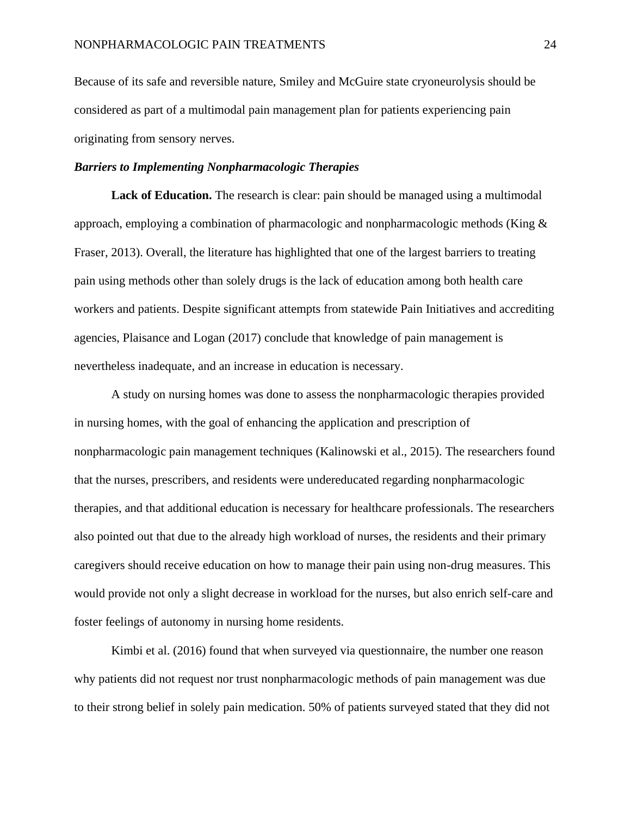Because of its safe and reversible nature, Smiley and McGuire state cryoneurolysis should be considered as part of a multimodal pain management plan for patients experiencing pain originating from sensory nerves.

## *Barriers to Implementing Nonpharmacologic Therapies*

Lack of Education. The research is clear: pain should be managed using a multimodal approach, employing a combination of pharmacologic and nonpharmacologic methods (King  $\&$ Fraser, 2013). Overall, the literature has highlighted that one of the largest barriers to treating pain using methods other than solely drugs is the lack of education among both health care workers and patients. Despite significant attempts from statewide Pain Initiatives and accrediting agencies, Plaisance and Logan (2017) conclude that knowledge of pain management is nevertheless inadequate, and an increase in education is necessary.

A study on nursing homes was done to assess the nonpharmacologic therapies provided in nursing homes, with the goal of enhancing the application and prescription of nonpharmacologic pain management techniques (Kalinowski et al., 2015). The researchers found that the nurses, prescribers, and residents were undereducated regarding nonpharmacologic therapies, and that additional education is necessary for healthcare professionals. The researchers also pointed out that due to the already high workload of nurses, the residents and their primary caregivers should receive education on how to manage their pain using non-drug measures. This would provide not only a slight decrease in workload for the nurses, but also enrich self-care and foster feelings of autonomy in nursing home residents.

Kimbi et al. (2016) found that when surveyed via questionnaire, the number one reason why patients did not request nor trust nonpharmacologic methods of pain management was due to their strong belief in solely pain medication. 50% of patients surveyed stated that they did not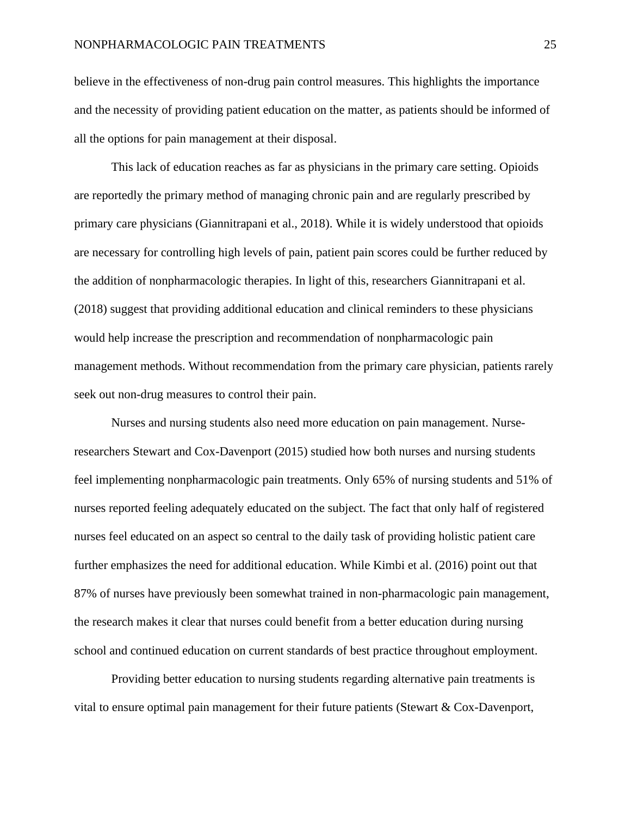believe in the effectiveness of non-drug pain control measures. This highlights the importance and the necessity of providing patient education on the matter, as patients should be informed of all the options for pain management at their disposal.

This lack of education reaches as far as physicians in the primary care setting. Opioids are reportedly the primary method of managing chronic pain and are regularly prescribed by primary care physicians (Giannitrapani et al., 2018). While it is widely understood that opioids are necessary for controlling high levels of pain, patient pain scores could be further reduced by the addition of nonpharmacologic therapies. In light of this, researchers Giannitrapani et al. (2018) suggest that providing additional education and clinical reminders to these physicians would help increase the prescription and recommendation of nonpharmacologic pain management methods. Without recommendation from the primary care physician, patients rarely seek out non-drug measures to control their pain.

Nurses and nursing students also need more education on pain management. Nurseresearchers Stewart and Cox-Davenport (2015) studied how both nurses and nursing students feel implementing nonpharmacologic pain treatments. Only 65% of nursing students and 51% of nurses reported feeling adequately educated on the subject. The fact that only half of registered nurses feel educated on an aspect so central to the daily task of providing holistic patient care further emphasizes the need for additional education. While Kimbi et al. (2016) point out that 87% of nurses have previously been somewhat trained in non-pharmacologic pain management, the research makes it clear that nurses could benefit from a better education during nursing school and continued education on current standards of best practice throughout employment.

Providing better education to nursing students regarding alternative pain treatments is vital to ensure optimal pain management for their future patients (Stewart & Cox-Davenport,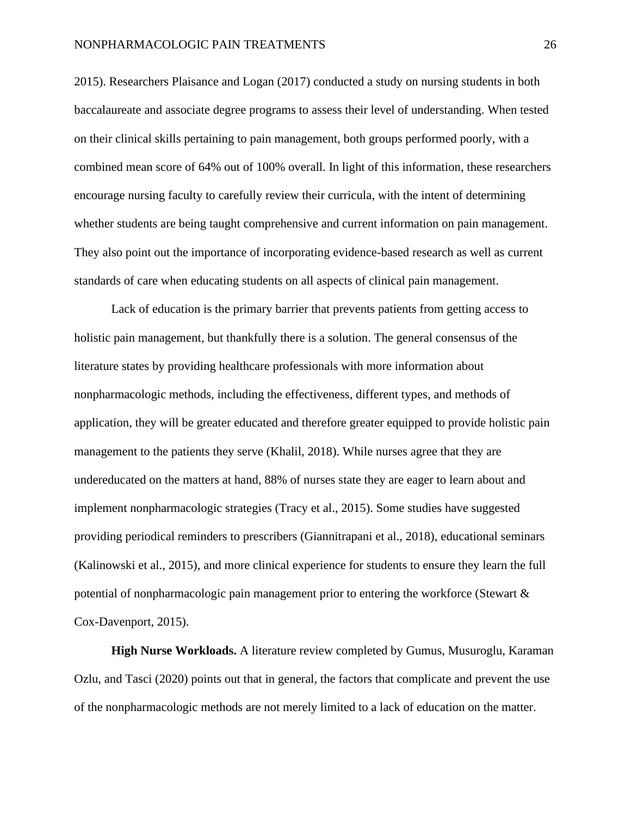2015). Researchers Plaisance and Logan (2017) conducted a study on nursing students in both baccalaureate and associate degree programs to assess their level of understanding. When tested on their clinical skills pertaining to pain management, both groups performed poorly, with a combined mean score of 64% out of 100% overall. In light of this information, these researchers encourage nursing faculty to carefully review their curricula, with the intent of determining whether students are being taught comprehensive and current information on pain management. They also point out the importance of incorporating evidence-based research as well as current standards of care when educating students on all aspects of clinical pain management.

Lack of education is the primary barrier that prevents patients from getting access to holistic pain management, but thankfully there is a solution. The general consensus of the literature states by providing healthcare professionals with more information about nonpharmacologic methods, including the effectiveness, different types, and methods of application, they will be greater educated and therefore greater equipped to provide holistic pain management to the patients they serve (Khalil, 2018). While nurses agree that they are undereducated on the matters at hand, 88% of nurses state they are eager to learn about and implement nonpharmacologic strategies (Tracy et al., 2015). Some studies have suggested providing periodical reminders to prescribers (Giannitrapani et al., 2018), educational seminars (Kalinowski et al., 2015), and more clinical experience for students to ensure they learn the full potential of nonpharmacologic pain management prior to entering the workforce (Stewart & Cox-Davenport, 2015).

**High Nurse Workloads.** A literature review completed by Gumus, Musuroglu, Karaman Ozlu, and Tasci (2020) points out that in general, the factors that complicate and prevent the use of the nonpharmacologic methods are not merely limited to a lack of education on the matter.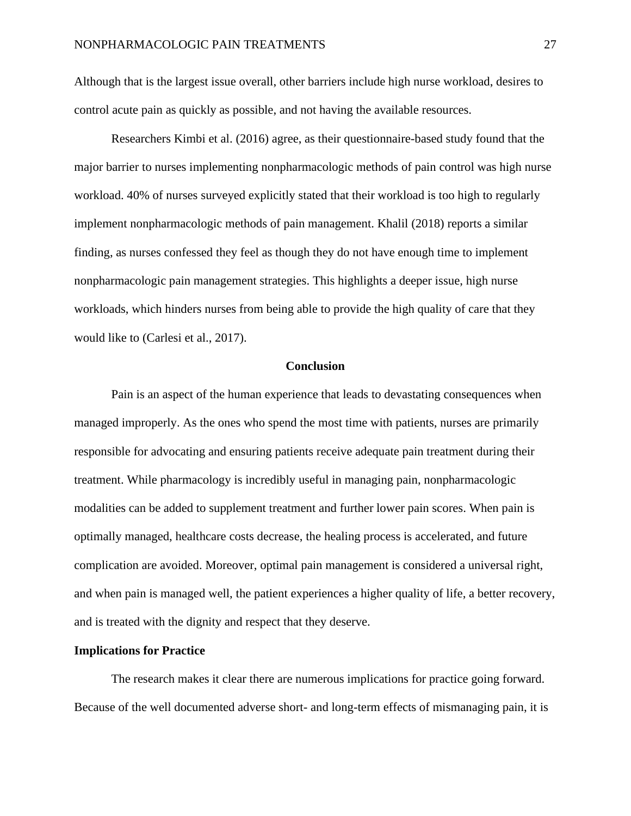Although that is the largest issue overall, other barriers include high nurse workload, desires to control acute pain as quickly as possible, and not having the available resources.

Researchers Kimbi et al. (2016) agree, as their questionnaire-based study found that the major barrier to nurses implementing nonpharmacologic methods of pain control was high nurse workload. 40% of nurses surveyed explicitly stated that their workload is too high to regularly implement nonpharmacologic methods of pain management. Khalil (2018) reports a similar finding, as nurses confessed they feel as though they do not have enough time to implement nonpharmacologic pain management strategies. This highlights a deeper issue, high nurse workloads, which hinders nurses from being able to provide the high quality of care that they would like to (Carlesi et al., 2017).

#### **Conclusion**

Pain is an aspect of the human experience that leads to devastating consequences when managed improperly. As the ones who spend the most time with patients, nurses are primarily responsible for advocating and ensuring patients receive adequate pain treatment during their treatment. While pharmacology is incredibly useful in managing pain, nonpharmacologic modalities can be added to supplement treatment and further lower pain scores. When pain is optimally managed, healthcare costs decrease, the healing process is accelerated, and future complication are avoided. Moreover, optimal pain management is considered a universal right, and when pain is managed well, the patient experiences a higher quality of life, a better recovery, and is treated with the dignity and respect that they deserve.

# **Implications for Practice**

The research makes it clear there are numerous implications for practice going forward. Because of the well documented adverse short- and long-term effects of mismanaging pain, it is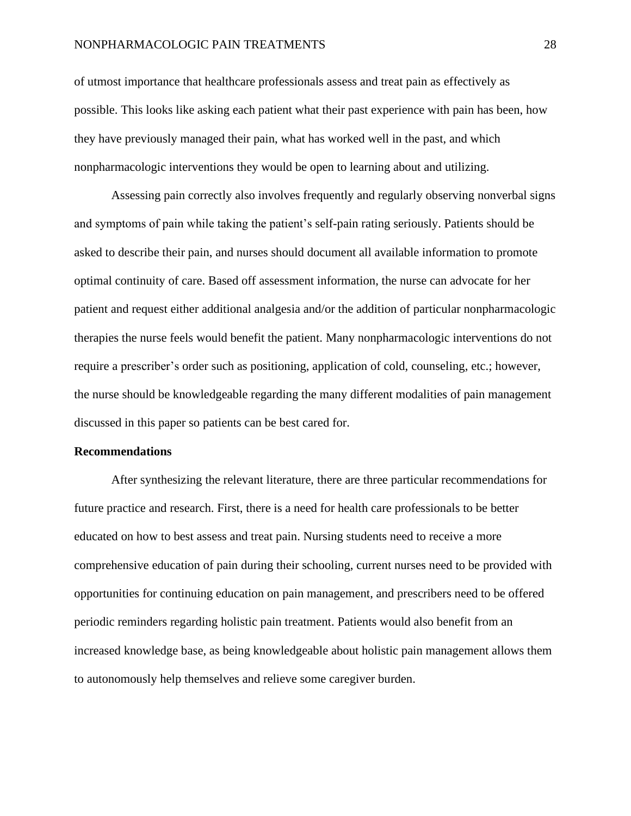# NONPHARMACOLOGIC PAIN TREATMENTS 28

of utmost importance that healthcare professionals assess and treat pain as effectively as possible. This looks like asking each patient what their past experience with pain has been, how they have previously managed their pain, what has worked well in the past, and which nonpharmacologic interventions they would be open to learning about and utilizing.

Assessing pain correctly also involves frequently and regularly observing nonverbal signs and symptoms of pain while taking the patient's self-pain rating seriously. Patients should be asked to describe their pain, and nurses should document all available information to promote optimal continuity of care. Based off assessment information, the nurse can advocate for her patient and request either additional analgesia and/or the addition of particular nonpharmacologic therapies the nurse feels would benefit the patient. Many nonpharmacologic interventions do not require a prescriber's order such as positioning, application of cold, counseling, etc.; however, the nurse should be knowledgeable regarding the many different modalities of pain management discussed in this paper so patients can be best cared for.

#### **Recommendations**

After synthesizing the relevant literature, there are three particular recommendations for future practice and research. First, there is a need for health care professionals to be better educated on how to best assess and treat pain. Nursing students need to receive a more comprehensive education of pain during their schooling, current nurses need to be provided with opportunities for continuing education on pain management, and prescribers need to be offered periodic reminders regarding holistic pain treatment. Patients would also benefit from an increased knowledge base, as being knowledgeable about holistic pain management allows them to autonomously help themselves and relieve some caregiver burden.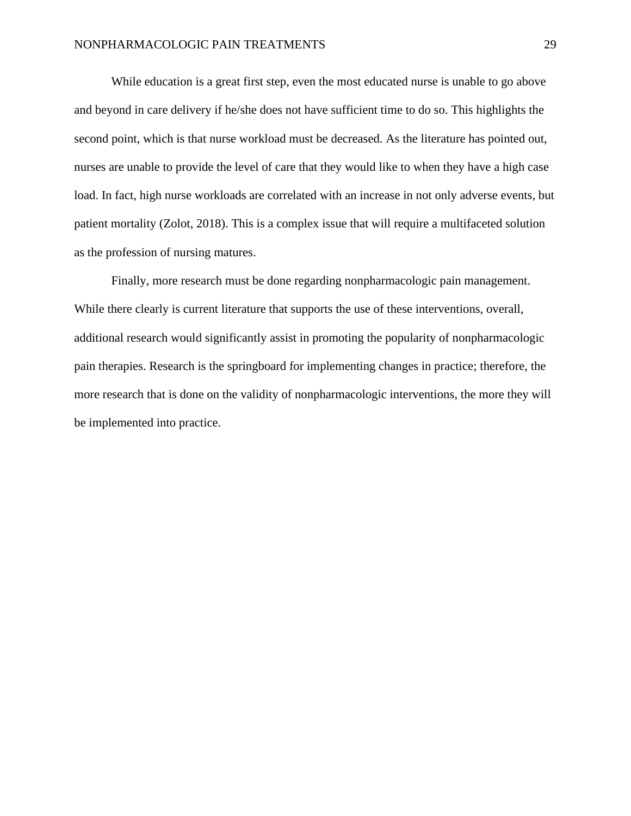While education is a great first step, even the most educated nurse is unable to go above and beyond in care delivery if he/she does not have sufficient time to do so. This highlights the second point, which is that nurse workload must be decreased. As the literature has pointed out, nurses are unable to provide the level of care that they would like to when they have a high case load. In fact, high nurse workloads are correlated with an increase in not only adverse events, but patient mortality (Zolot, 2018). This is a complex issue that will require a multifaceted solution as the profession of nursing matures.

Finally, more research must be done regarding nonpharmacologic pain management. While there clearly is current literature that supports the use of these interventions, overall, additional research would significantly assist in promoting the popularity of nonpharmacologic pain therapies. Research is the springboard for implementing changes in practice; therefore, the more research that is done on the validity of nonpharmacologic interventions, the more they will be implemented into practice.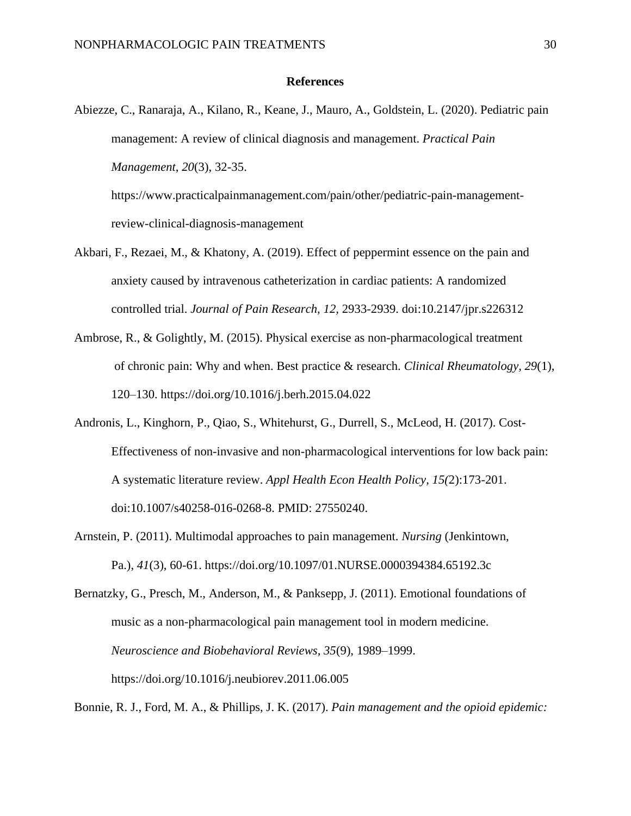## **References**

Abiezze, C., Ranaraja, A., Kilano, R., Keane, J., Mauro, A., Goldstein, L. (2020). Pediatric pain management: A review of clinical diagnosis and management. *Practical Pain Management*, *20*(3), 32-35.

https://www.practicalpainmanagement.com/pain/other/pediatric-pain-managementreview-clinical-diagnosis-management

- Akbari, F., Rezaei, M., & Khatony, A. (2019). Effect of peppermint essence on the pain and anxiety caused by intravenous catheterization in cardiac patients: A randomized controlled trial. *Journal of Pain Research, 12,* 2933-2939. doi:10.2147/jpr.s226312
- Ambrose, R., & Golightly, M. (2015). Physical exercise as non-pharmacological treatment of chronic pain: Why and when. Best practice & research. *Clinical Rheumatology, 29*(1), 120–130. https://doi.org/10.1016/j.berh.2015.04.022
- Andronis, L., Kinghorn, P., Qiao, S., Whitehurst, G., Durrell, S., McLeod, H. (2017). Cost-Effectiveness of non-invasive and non-pharmacological interventions for low back pain: A systematic literature review. *Appl Health Econ Health Policy, 15(*2):173-201. doi:10.1007/s40258-016-0268-8. PMID: 27550240.
- Arnstein, P. (2011). Multimodal approaches to pain management. *Nursing* (Jenkintown, Pa.), *41*(3), 60-61. https://doi.org/10.1097/01.NURSE.0000394384.65192.3c
- Bernatzky, G., Presch, M., Anderson, M., & Panksepp, J. (2011). Emotional foundations of music as a non-pharmacological pain management tool in modern medicine. *Neuroscience and Biobehavioral Reviews, 35*(9), 1989–1999. https://doi.org/10.1016/j.neubiorev.2011.06.005

Bonnie, R. J., Ford, M. A., & Phillips, J. K. (2017). *Pain management and the opioid epidemic:*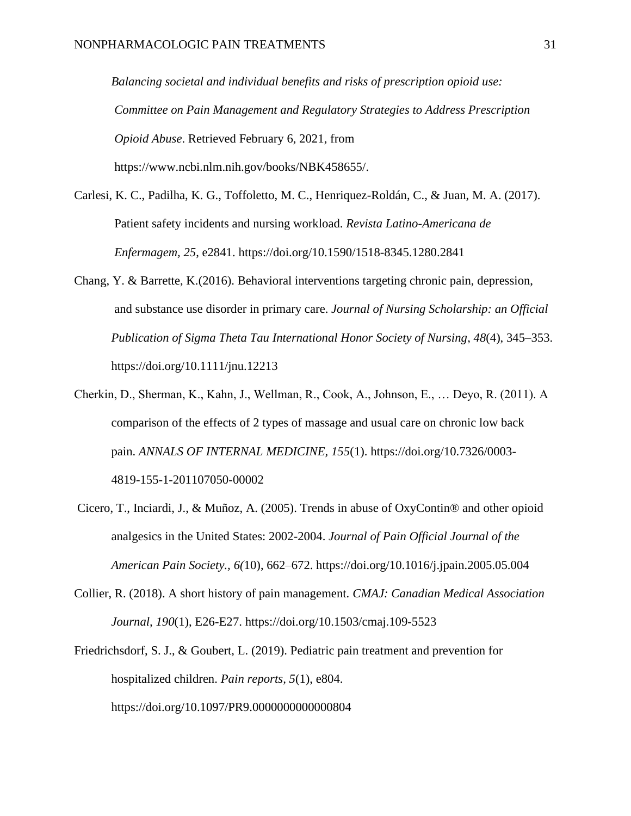*Balancing societal and individual benefits and risks of prescription opioid use: Committee on Pain Management and Regulatory Strategies to Address Prescription Opioid Abuse*. Retrieved February 6, 2021, from https://www.ncbi.nlm.nih.gov/books/NBK458655/.

- Carlesi, K. C., Padilha, K. G., Toffoletto, M. C., Henriquez-Roldán, C., & Juan, M. A. (2017). Patient safety incidents and nursing workload. *Revista Latino-Americana de Enfermagem, 25*, e2841. https://doi.org/10.1590/1518-8345.1280.2841
- Chang, Y. & Barrette, K.(2016). Behavioral interventions targeting chronic pain, depression, and substance use disorder in primary care. *Journal of Nursing Scholarship: an Official Publication of Sigma Theta Tau International Honor Society of Nursing*, *48*(4), 345–353. https://doi.org/10.1111/jnu.12213
- Cherkin, D., Sherman, K., Kahn, J., Wellman, R., Cook, A., Johnson, E., … Deyo, R. (2011). A comparison of the effects of 2 types of massage and usual care on chronic low back pain. *ANNALS OF INTERNAL MEDICINE, 155*(1). https://doi.org/10.7326/0003- 4819-155-1-201107050-00002
- Cicero, T., Inciardi, J., & Muñoz, A. (2005). Trends in abuse of OxyContin® and other opioid analgesics in the United States: 2002-2004. *Journal of Pain Official Journal of the American Pain Society., 6(*10), 662–672. https://doi.org/10.1016/j.jpain.2005.05.004
- Collier, R. (2018). A short history of pain management. *CMAJ: Canadian Medical Association Journal, 190*(1), E26-E27. https://doi.org/10.1503/cmaj.109-5523
- Friedrichsdorf, S. J., & Goubert, L. (2019). Pediatric pain treatment and prevention for hospitalized children. *Pain reports, 5*(1), e804. https://doi.org/10.1097/PR9.0000000000000804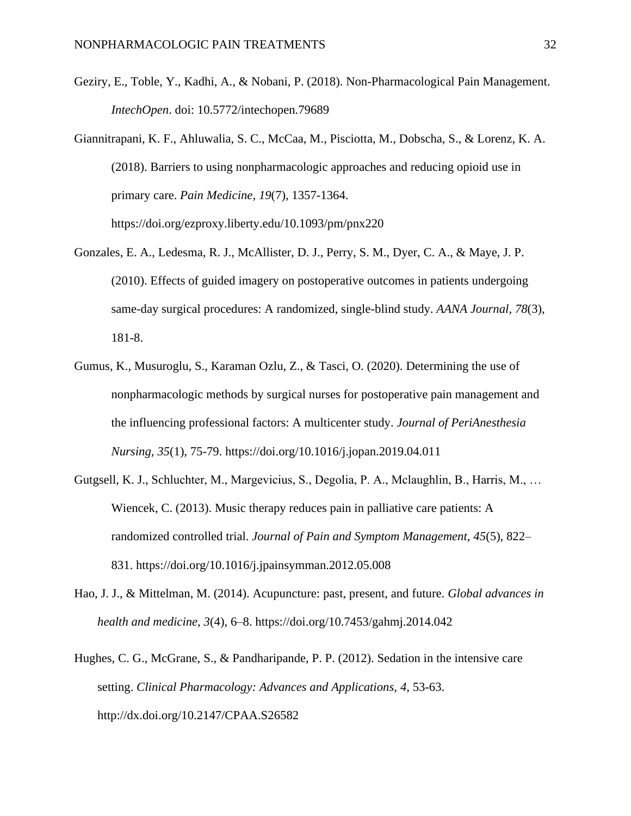- Geziry, E., Toble, Y., Kadhi, A., & Nobani, P. (2018). Non-Pharmacological Pain Management. *IntechOpen*. doi: 10.5772/intechopen.79689
- Giannitrapani, K. F., Ahluwalia, S. C., McCaa, M., Pisciotta, M., Dobscha, S., & Lorenz, K. A. (2018). Barriers to using nonpharmacologic approaches and reducing opioid use in primary care. *Pain Medicine, 19*(7), 1357-1364. https://doi.org/ezproxy.liberty.edu/10.1093/pm/pnx220
- Gonzales, E. A., Ledesma, R. J., McAllister, D. J., Perry, S. M., Dyer, C. A., & Maye, J. P. (2010). Effects of guided imagery on postoperative outcomes in patients undergoing same-day surgical procedures: A randomized, single-blind study. *AANA Journal, 78*(3), 181-8.
- Gumus, K., Musuroglu, S., Karaman Ozlu, Z., & Tasci, O. (2020). Determining the use of nonpharmacologic methods by surgical nurses for postoperative pain management and the influencing professional factors: A multicenter study. *Journal of PeriAnesthesia Nursing, 35*(1), 75-79. https://doi.org/10.1016/j.jopan.2019.04.011
- Gutgsell, K. J., Schluchter, M., Margevicius, S., Degolia, P. A., Mclaughlin, B., Harris, M., … Wiencek, C. (2013). Music therapy reduces pain in palliative care patients: A randomized controlled trial. *Journal of Pain and Symptom Management, 45*(5), 822– 831. https://doi.org/10.1016/j.jpainsymman.2012.05.008
- Hao, J. J., & Mittelman, M. (2014). Acupuncture: past, present, and future. *Global advances in health and medicine, 3*(4), 6–8. https://doi.org/10.7453/gahmj.2014.042
- Hughes, C. G., McGrane, S., & Pandharipande, P. P. (2012). Sedation in the intensive care setting. *Clinical Pharmacology: Advances and Applications, 4*, 53-63. http://dx.doi.org/10.2147/CPAA.S26582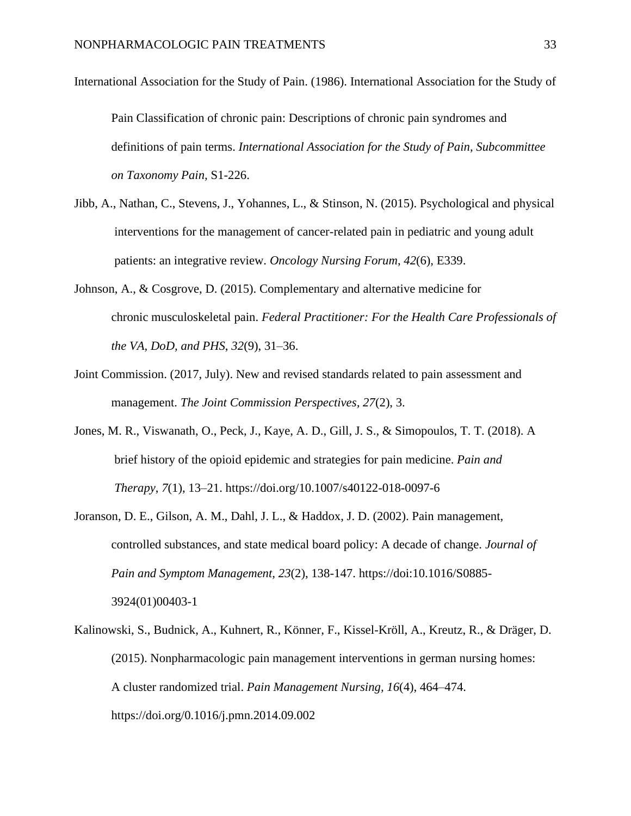- International Association for the Study of Pain. (1986). International Association for the Study of Pain Classification of chronic pain: Descriptions of chronic pain syndromes and definitions of pain terms. *International Association for the Study of Pain, Subcommittee on Taxonomy Pain,* S1-226.
- Jibb, A., Nathan, C., Stevens, J., Yohannes, L., & Stinson, N. (2015). Psychological and physical interventions for the management of cancer-related pain in pediatric and young adult patients: an integrative review. *Oncology Nursing Forum*, *42*(6), E339.
- Johnson, A., & Cosgrove, D. (2015). Complementary and alternative medicine for chronic musculoskeletal pain. *Federal Practitioner: For the Health Care Professionals of the VA, DoD, and PHS*, *32*(9), 31–36.
- Joint Commission. (2017, July). New and revised standards related to pain assessment and management. *The Joint Commission Perspectives, 27*(2), 3.
- Jones, M. R., Viswanath, O., Peck, J., Kaye, A. D., Gill, J. S., & Simopoulos, T. T. (2018). A brief history of the opioid epidemic and strategies for pain medicine. *Pain and Therapy*, *7*(1), 13–21. https://doi.org/10.1007/s40122-018-0097-6
- Joranson, D. E., Gilson, A. M., Dahl, J. L., & Haddox, J. D. (2002). Pain management, controlled substances, and state medical board policy: A decade of change. *Journal of Pain and Symptom Management, 23*(2), 138-147. https://doi:10.1016/S0885- 3924(01)00403-1
- Kalinowski, S., Budnick, A., Kuhnert, R., Könner, F., Kissel-Kröll, A., Kreutz, R., & Dräger, D. (2015). Nonpharmacologic pain management interventions in german nursing homes: A cluster randomized trial. *Pain Management Nursing, 16*(4), 464–474. https://doi.org/0.1016/j.pmn.2014.09.002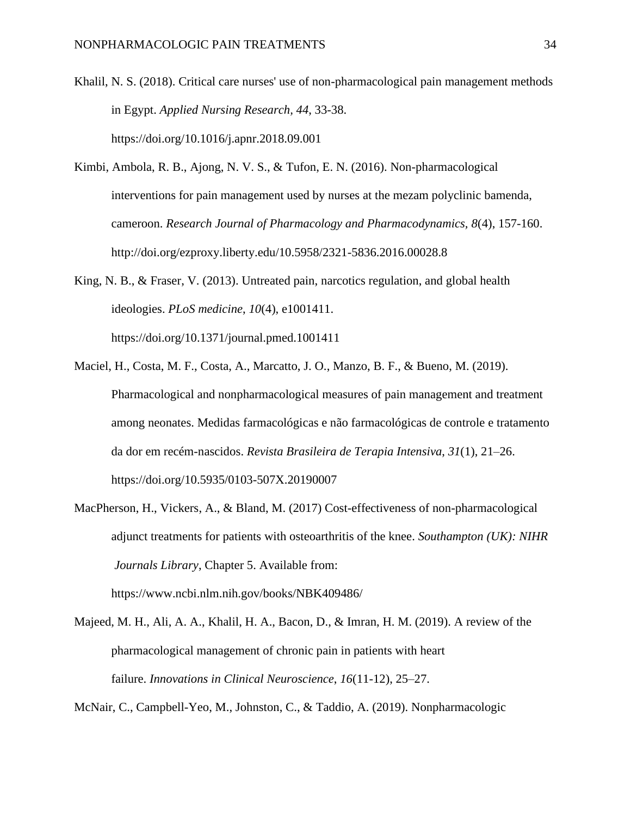- Khalil, N. S. (2018). Critical care nurses' use of non-pharmacological pain management methods in Egypt. *Applied Nursing Research, 44*, 33-38. https://doi.org/10.1016/j.apnr.2018.09.001
- Kimbi, Ambola, R. B., Ajong, N. V. S., & Tufon, E. N. (2016). Non-pharmacological interventions for pain management used by nurses at the mezam polyclinic bamenda, cameroon. *Research Journal of Pharmacology and Pharmacodynamics, 8*(4), 157-160. http://doi.org/ezproxy.liberty.edu/10.5958/2321-5836.2016.00028.8
- King, N. B., & Fraser, V. (2013). Untreated pain, narcotics regulation, and global health ideologies. *PLoS medicine*, *10*(4), e1001411. https://doi.org/10.1371/journal.pmed.1001411
- Maciel, H., Costa, M. F., Costa, A., Marcatto, J. O., Manzo, B. F., & Bueno, M. (2019). Pharmacological and nonpharmacological measures of pain management and treatment among neonates. Medidas farmacológicas e não farmacológicas de controle e tratamento da dor em recém-nascidos. *Revista Brasileira de Terapia Intensiva*, *31*(1), 21–26. https://doi.org/10.5935/0103-507X.20190007
- MacPherson, H., Vickers, A., & Bland, M. (2017) Cost-effectiveness of non-pharmacological adjunct treatments for patients with osteoarthritis of the knee. *Southampton (UK): NIHR Journals Library*, Chapter 5. Available from:

Majeed, M. H., Ali, A. A., Khalil, H. A., Bacon, D., & Imran, H. M. (2019). A review of the pharmacological management of chronic pain in patients with heart

failure. *Innovations in Clinical Neuroscience*, *16*(11-12), 25–27.

https://www.ncbi.nlm.nih.gov/books/NBK409486/

McNair, C., Campbell-Yeo, M., Johnston, C., & Taddio, A. (2019). Nonpharmacologic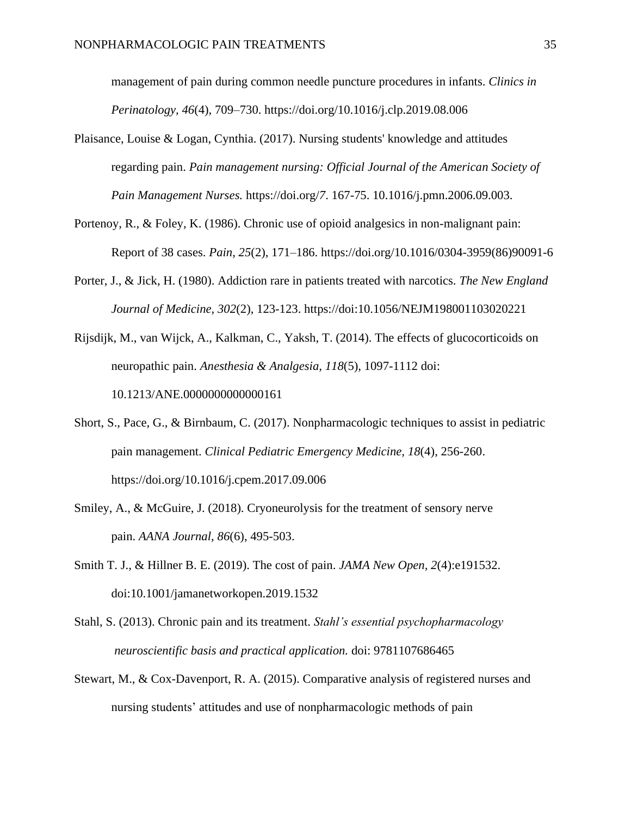management of pain during common needle puncture procedures in infants. *Clinics in Perinatology, 46*(4), 709–730. <https://doi.org/10.1016/j.clp.2019.08.006>

- Plaisance, Louise & Logan, Cynthia. (2017). Nursing students' knowledge and attitudes regarding pain. *Pain management nursing: Official Journal of the American Society of Pain Management Nurses.* https://doi.org/*7*. 167-75. 10.1016/j.pmn.2006.09.003.
- Portenoy, R., & Foley, K. (1986). Chronic use of opioid analgesics in non-malignant pain: Report of 38 cases. *Pain, 25*(2), 171–186. https://doi.org/10.1016/0304-3959(86)90091-6
- Porter, J., & Jick, H. (1980). Addiction rare in patients treated with narcotics. *The New England Journal of Medicine, 302*(2), 123-123. https://doi:10.1056/NEJM198001103020221
- Rijsdijk, M., van Wijck, A., Kalkman, C., Yaksh, T. (2014). The effects of glucocorticoids on neuropathic pain. *Anesthesia & Analgesia, 118*(5), 1097-1112 doi: 10.1213/ANE.0000000000000161
- Short, S., Pace, G., & Birnbaum, C. (2017). Nonpharmacologic techniques to assist in pediatric pain management. *Clinical Pediatric Emergency Medicine, 18*(4), 256-260. https://doi.org/10.1016/j.cpem.2017.09.006
- Smiley, A., & McGuire, J. (2018). Cryoneurolysis for the treatment of sensory nerve pain. *AANA Journal, 86*(6), 495-503.
- Smith T. J., & Hillner B. E. (2019). The cost of pain. *JAMA New Open, 2*(4):e191532. doi:10.1001/jamanetworkopen.2019.1532
- Stahl, S. (2013). Chronic pain and its treatment. *Stahl's essential psychopharmacology neuroscientific basis and practical application.* doi: 9781107686465
- Stewart, M., & Cox-Davenport, R. A. (2015). Comparative analysis of registered nurses and nursing students' attitudes and use of nonpharmacologic methods of pain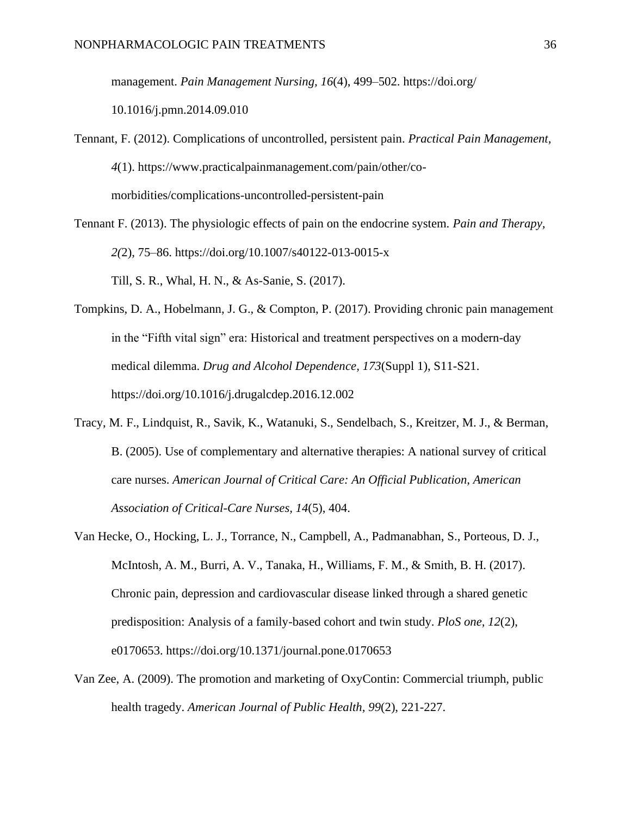management. *Pain Management Nursing, 16*(4), 499–502. https://doi.org/

10.1016/j.pmn.2014.09.010

- Tennant, F. (2012). Complications of uncontrolled, persistent pain. *Practical Pain Management, 4*(1). https://www.practicalpainmanagement.com/pain/other/comorbidities/complications-uncontrolled-persistent-pain
- Tennant F. (2013). The physiologic effects of pain on the endocrine system. *Pain and Therapy, 2(*2), 75–86. https://doi.org/10.1007/s40122-013-0015-x Till, S. R., Whal, H. N., & As-Sanie, S. (2017).
- Tompkins, D. A., Hobelmann, J. G., & Compton, P. (2017). Providing chronic pain management in the "Fifth vital sign" era: Historical and treatment perspectives on a modern-day medical dilemma. *Drug and Alcohol Dependence, 173*(Suppl 1), S11-S21. https://doi.org/10.1016/j.drugalcdep.2016.12.002
- Tracy, M. F., Lindquist, R., Savik, K., Watanuki, S., Sendelbach, S., Kreitzer, M. J., & Berman, B. (2005). Use of complementary and alternative therapies: A national survey of critical care nurses. *American Journal of Critical Care: An Official Publication, American Association of Critical-Care Nurses, 14*(5), 404.
- Van Hecke, O., Hocking, L. J., Torrance, N., Campbell, A., Padmanabhan, S., Porteous, D. J., McIntosh, A. M., Burri, A. V., Tanaka, H., Williams, F. M., & Smith, B. H. (2017). Chronic pain, depression and cardiovascular disease linked through a shared genetic predisposition: Analysis of a family-based cohort and twin study. *PloS one, 12*(2), e0170653. https://doi.org/10.1371/journal.pone.0170653
- Van Zee, A. (2009). The promotion and marketing of OxyContin: Commercial triumph, public health tragedy. *American Journal of Public Health, 99*(2), 221-227.